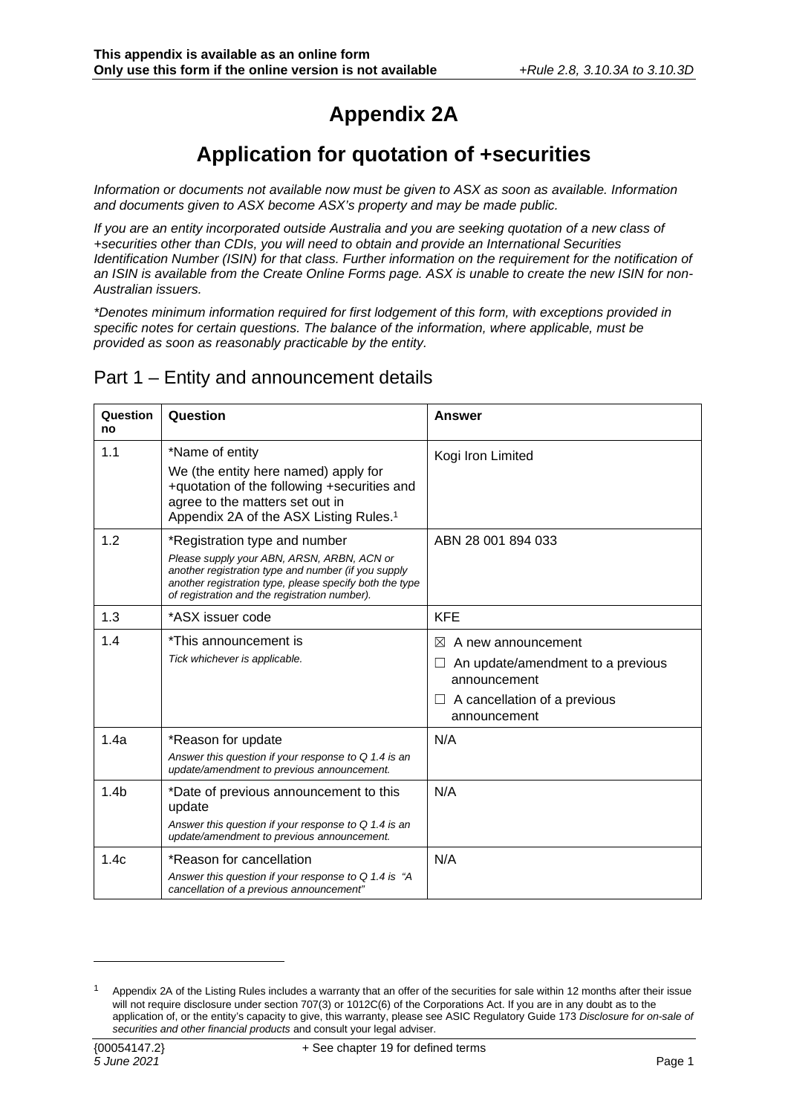# **Appendix 2A**

## **Application for quotation of +securities**

*Information or documents not available now must be given to ASX as soon as available. Information and documents given to ASX become ASX's property and may be made public.* 

*If you are an entity incorporated outside Australia and you are seeking quotation of a new class of +securities other than CDIs, you will need to obtain and provide an International Securities Identification Number (ISIN) for that class. Further information on the requirement for the notification of an ISIN is available from the Create Online Forms page. ASX is unable to create the new ISIN for non-Australian issuers.* 

*\*Denotes minimum information required for first lodgement of this form, with exceptions provided in specific notes for certain questions. The balance of the information, where applicable, must be provided as soon as reasonably practicable by the entity.* 

#### Part 1 – Entity and announcement details

| Question<br>no   | Question                                                                                                                                                                                                                                       | Answer                                                                                                                                                      |
|------------------|------------------------------------------------------------------------------------------------------------------------------------------------------------------------------------------------------------------------------------------------|-------------------------------------------------------------------------------------------------------------------------------------------------------------|
| 1.1              | *Name of entity<br>We (the entity here named) apply for<br>+quotation of the following +securities and<br>agree to the matters set out in<br>Appendix 2A of the ASX Listing Rules. <sup>1</sup>                                                | Kogi Iron Limited                                                                                                                                           |
| 1.2              | *Registration type and number<br>Please supply your ABN, ARSN, ARBN, ACN or<br>another registration type and number (if you supply<br>another registration type, please specify both the type<br>of registration and the registration number). | ABN 28 001 894 033                                                                                                                                          |
| 1.3              | *ASX issuer code                                                                                                                                                                                                                               | <b>KFE</b>                                                                                                                                                  |
| 1.4              | *This announcement is<br>Tick whichever is applicable.                                                                                                                                                                                         | A new announcement<br>$\bowtie$<br>An update/amendment to a previous<br>$\mathsf{L}$<br>announcement<br>$\Box$ A cancellation of a previous<br>announcement |
| 1.4a             | *Reason for update<br>Answer this question if your response to $Q$ 1.4 is an<br>update/amendment to previous announcement.                                                                                                                     | N/A                                                                                                                                                         |
| 1.4 <sub>b</sub> | *Date of previous announcement to this<br>update<br>Answer this question if your response to $Q$ 1.4 is an<br>update/amendment to previous announcement.                                                                                       | N/A                                                                                                                                                         |
| 1.4c             | *Reason for cancellation<br>Answer this question if your response to $Q$ 1.4 is "A<br>cancellation of a previous announcement"                                                                                                                 | N/A                                                                                                                                                         |

<span id="page-0-0"></span>Appendix 2A of the Listing Rules includes a warranty that an offer of the securities for sale within 12 months after their issue will not require disclosure under section 707(3) or 1012C(6) of the Corporations Act. If you are in any doubt as to the application of, or the entity's capacity to give, this warranty, please see ASIC Regulatory Guide 173 *Disclosure for on-sale of securities and other financial products* and consult your legal adviser.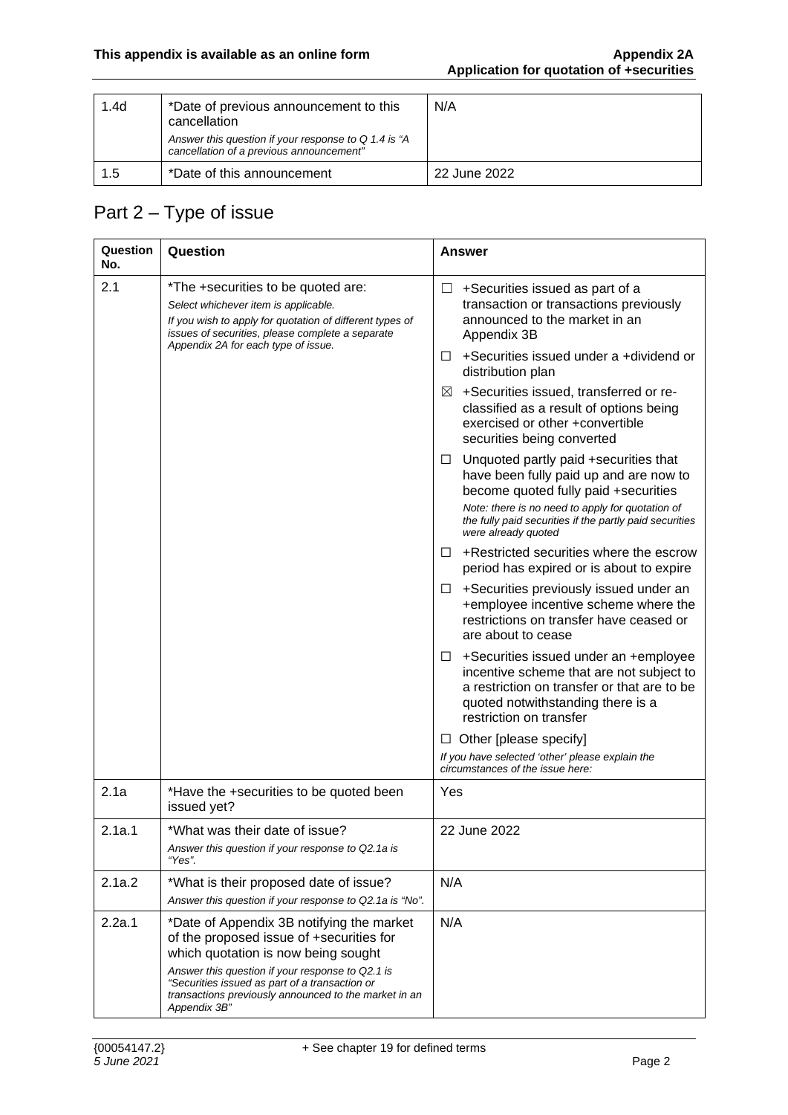| 1.4 <sub>d</sub> | *Date of previous announcement to this<br>cancellation                                           | N/A          |
|------------------|--------------------------------------------------------------------------------------------------|--------------|
|                  | Answer this question if your response to Q 1.4 is "A<br>cancellation of a previous announcement" |              |
| 1.5              | *Date of this announcement                                                                       | 22 June 2022 |

### Part 2 – Type of issue

| Question<br>No. | Question                                                                                                                                                                                                                          | Answer                                                                                                                                                                                                                                                             |
|-----------------|-----------------------------------------------------------------------------------------------------------------------------------------------------------------------------------------------------------------------------------|--------------------------------------------------------------------------------------------------------------------------------------------------------------------------------------------------------------------------------------------------------------------|
| 2.1             | *The +securities to be quoted are:<br>Select whichever item is applicable.<br>If you wish to apply for quotation of different types of<br>issues of securities, please complete a separate<br>Appendix 2A for each type of issue. | +Securities issued as part of a<br>⊔<br>transaction or transactions previously<br>announced to the market in an<br>Appendix 3B                                                                                                                                     |
|                 |                                                                                                                                                                                                                                   | +Securities issued under a +dividend or<br>$\Box$<br>distribution plan                                                                                                                                                                                             |
|                 |                                                                                                                                                                                                                                   | +Securities issued, transferred or re-<br>$\boxtimes$<br>classified as a result of options being<br>exercised or other +convertible<br>securities being converted                                                                                                  |
|                 |                                                                                                                                                                                                                                   | Unquoted partly paid +securities that<br>⊔<br>have been fully paid up and are now to<br>become quoted fully paid +securities<br>Note: there is no need to apply for quotation of<br>the fully paid securities if the partly paid securities<br>were already quoted |
|                 |                                                                                                                                                                                                                                   | +Restricted securities where the escrow<br>$\perp$<br>period has expired or is about to expire                                                                                                                                                                     |
|                 |                                                                                                                                                                                                                                   | +Securities previously issued under an<br>ப<br>+employee incentive scheme where the<br>restrictions on transfer have ceased or<br>are about to cease                                                                                                               |
|                 |                                                                                                                                                                                                                                   | +Securities issued under an +employee<br>Ш<br>incentive scheme that are not subject to<br>a restriction on transfer or that are to be<br>quoted notwithstanding there is a<br>restriction on transfer                                                              |
|                 |                                                                                                                                                                                                                                   | Other [please specify]<br>ப                                                                                                                                                                                                                                        |
|                 |                                                                                                                                                                                                                                   | If you have selected 'other' please explain the<br>circumstances of the issue here:                                                                                                                                                                                |
| 2.1a            | *Have the +securities to be quoted been<br>issued yet?                                                                                                                                                                            | Yes                                                                                                                                                                                                                                                                |
| 2.1a.1          | *What was their date of issue?<br>Answer this question if your response to Q2.1a is<br>"Yes".                                                                                                                                     | 22 June 2022                                                                                                                                                                                                                                                       |
| 2.1a.2          | *What is their proposed date of issue?<br>Answer this question if your response to Q2.1a is "No".                                                                                                                                 | N/A                                                                                                                                                                                                                                                                |
| 2.2a.1          | *Date of Appendix 3B notifying the market<br>of the proposed issue of +securities for<br>which quotation is now being sought                                                                                                      | N/A                                                                                                                                                                                                                                                                |
|                 | Answer this question if your response to Q2.1 is<br>"Securities issued as part of a transaction or<br>transactions previously announced to the market in an<br>Appendix 3B"                                                       |                                                                                                                                                                                                                                                                    |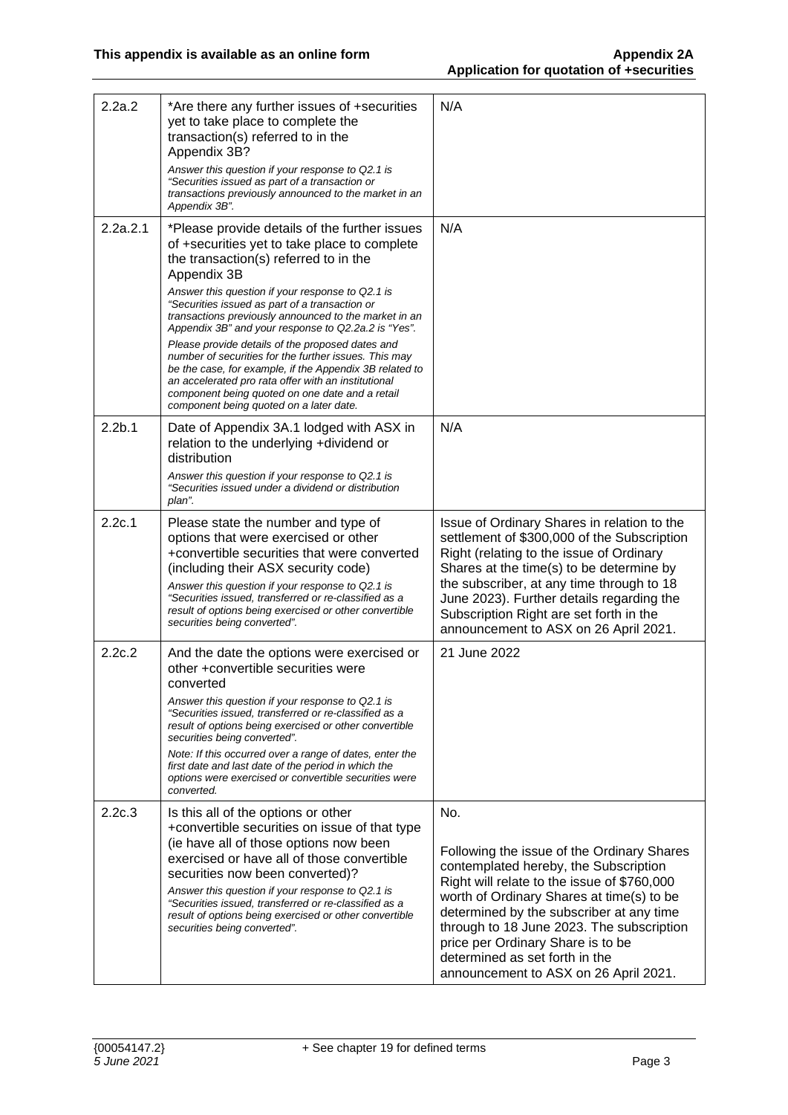| 2.2a.2             | *Are there any further issues of +securities<br>yet to take place to complete the<br>transaction(s) referred to in the<br>Appendix 3B?<br>Answer this question if your response to Q2.1 is<br>"Securities issued as part of a transaction or<br>transactions previously announced to the market in an<br>Appendix 3B".                                                                                                                                                                                                                                                                                                                                                                                   | N/A                                                                                                                                                                                                                                                                                                                                                                                             |
|--------------------|----------------------------------------------------------------------------------------------------------------------------------------------------------------------------------------------------------------------------------------------------------------------------------------------------------------------------------------------------------------------------------------------------------------------------------------------------------------------------------------------------------------------------------------------------------------------------------------------------------------------------------------------------------------------------------------------------------|-------------------------------------------------------------------------------------------------------------------------------------------------------------------------------------------------------------------------------------------------------------------------------------------------------------------------------------------------------------------------------------------------|
| 2.2a.2.1           | *Please provide details of the further issues<br>of +securities yet to take place to complete<br>the transaction(s) referred to in the<br>Appendix 3B<br>Answer this question if your response to Q2.1 is<br>"Securities issued as part of a transaction or<br>transactions previously announced to the market in an<br>Appendix 3B" and your response to Q2.2a.2 is "Yes".<br>Please provide details of the proposed dates and<br>number of securities for the further issues. This may<br>be the case, for example, if the Appendix 3B related to<br>an accelerated pro rata offer with an institutional<br>component being quoted on one date and a retail<br>component being quoted on a later date. | N/A                                                                                                                                                                                                                                                                                                                                                                                             |
| 2.2 <sub>b.1</sub> | Date of Appendix 3A.1 lodged with ASX in<br>relation to the underlying +dividend or<br>distribution<br>Answer this question if your response to Q2.1 is<br>"Securities issued under a dividend or distribution<br>plan".                                                                                                                                                                                                                                                                                                                                                                                                                                                                                 | N/A                                                                                                                                                                                                                                                                                                                                                                                             |
| 2.2c.1             | Please state the number and type of<br>options that were exercised or other<br>+convertible securities that were converted<br>(including their ASX security code)<br>Answer this question if your response to Q2.1 is<br>"Securities issued, transferred or re-classified as a<br>result of options being exercised or other convertible<br>securities being converted".                                                                                                                                                                                                                                                                                                                                 | Issue of Ordinary Shares in relation to the<br>settlement of \$300,000 of the Subscription<br>Right (relating to the issue of Ordinary<br>Shares at the time(s) to be determine by<br>the subscriber, at any time through to 18<br>June 2023). Further details regarding the<br>Subscription Right are set forth in the<br>announcement to ASX on 26 April 2021.                                |
| 2.2c.2             | And the date the options were exercised or<br>other +convertible securities were<br>converted<br>Answer this question if your response to Q2.1 is<br>"Securities issued, transferred or re-classified as a<br>result of options being exercised or other convertible<br>securities being converted".<br>Note: If this occurred over a range of dates, enter the<br>first date and last date of the period in which the<br>options were exercised or convertible securities were<br>converted.                                                                                                                                                                                                            | 21 June 2022                                                                                                                                                                                                                                                                                                                                                                                    |
| 2.2c.3             | Is this all of the options or other<br>+convertible securities on issue of that type<br>(ie have all of those options now been<br>exercised or have all of those convertible<br>securities now been converted)?<br>Answer this question if your response to Q2.1 is<br>"Securities issued, transferred or re-classified as a<br>result of options being exercised or other convertible<br>securities being converted".                                                                                                                                                                                                                                                                                   | No.<br>Following the issue of the Ordinary Shares<br>contemplated hereby, the Subscription<br>Right will relate to the issue of \$760,000<br>worth of Ordinary Shares at time(s) to be<br>determined by the subscriber at any time<br>through to 18 June 2023. The subscription<br>price per Ordinary Share is to be<br>determined as set forth in the<br>announcement to ASX on 26 April 2021. |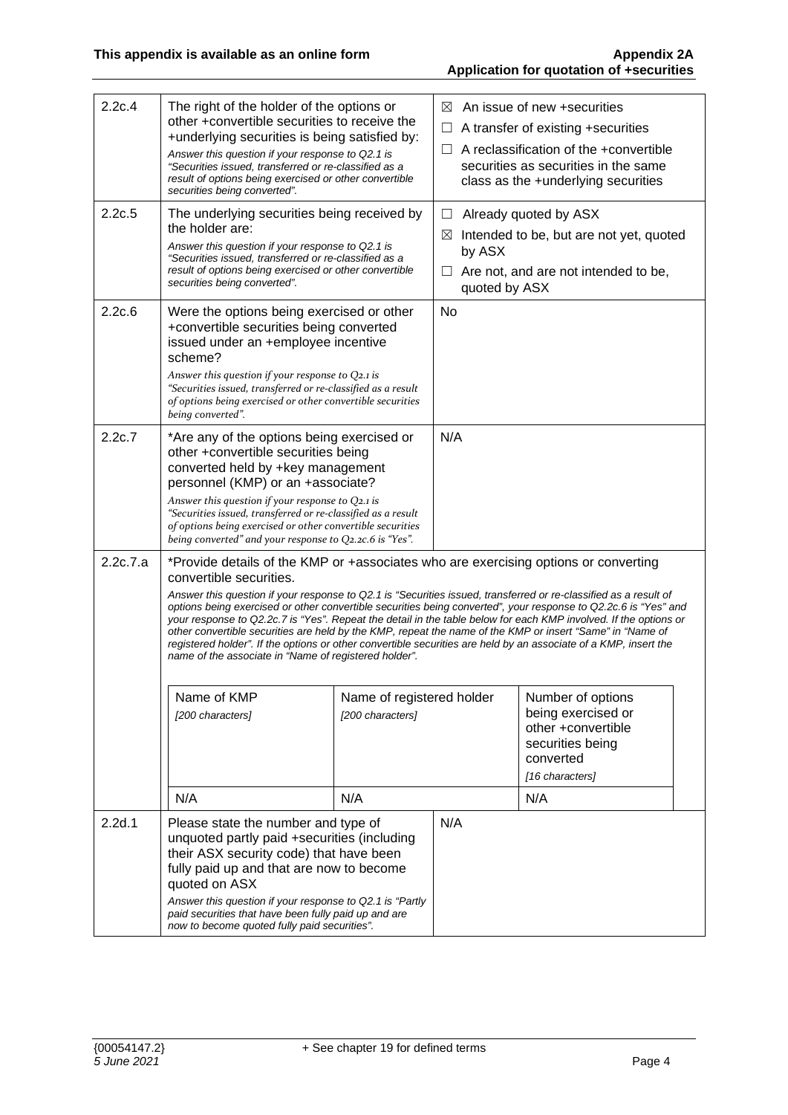| 2.2c.4   | The right of the holder of the options or<br>other +convertible securities to receive the<br>+underlying securities is being satisfied by:<br>Answer this question if your response to Q2.1 is<br>"Securities issued, transferred or re-classified as a<br>result of options being exercised or other convertible<br>securities being converted".                                                                                                                                                                                                                                                                                                                                                                                                                   |                                               | ⊠<br>$\Box$<br>$\Box$                  | An issue of new +securities<br>A transfer of existing +securities<br>A reclassification of the +convertible<br>securities as securities in the same<br>class as the +underlying securities |  |
|----------|---------------------------------------------------------------------------------------------------------------------------------------------------------------------------------------------------------------------------------------------------------------------------------------------------------------------------------------------------------------------------------------------------------------------------------------------------------------------------------------------------------------------------------------------------------------------------------------------------------------------------------------------------------------------------------------------------------------------------------------------------------------------|-----------------------------------------------|----------------------------------------|--------------------------------------------------------------------------------------------------------------------------------------------------------------------------------------------|--|
| 2.2c.5   | The underlying securities being received by<br>the holder are:<br>Answer this question if your response to Q2.1 is<br>"Securities issued, transferred or re-classified as a<br>result of options being exercised or other convertible<br>securities being converted".                                                                                                                                                                                                                                                                                                                                                                                                                                                                                               |                                               | $\boxtimes$<br>by ASX<br>quoted by ASX | Already quoted by ASX<br>Intended to be, but are not yet, quoted<br>Are not, and are not intended to be,                                                                                   |  |
| 2.2c.6   | Were the options being exercised or other<br>+convertible securities being converted<br>issued under an +employee incentive<br>scheme?<br>Answer this question if your response to Q2.1 is<br>"Securities issued, transferred or re-classified as a result<br>of options being exercised or other convertible securities<br>being converted".                                                                                                                                                                                                                                                                                                                                                                                                                       |                                               | <b>No</b>                              |                                                                                                                                                                                            |  |
| 2.2c.7   | *Are any of the options being exercised or<br>other +convertible securities being<br>converted held by +key management<br>personnel (KMP) or an +associate?<br>Answer this question if your response to Q2.1 is<br>"Securities issued, transferred or re-classified as a result<br>of options being exercised or other convertible securities<br>being converted" and your response to Q2.2c.6 is "Yes".                                                                                                                                                                                                                                                                                                                                                            |                                               | N/A                                    |                                                                                                                                                                                            |  |
| 2.2c.7.a | *Provide details of the KMP or +associates who are exercising options or converting<br>convertible securities.<br>Answer this question if your response to Q2.1 is "Securities issued, transferred or re-classified as a result of<br>options being exercised or other convertible securities being converted", your response to Q2.2c.6 is "Yes" and<br>your response to Q2.2c.7 is "Yes". Repeat the detail in the table below for each KMP involved. If the options or<br>other convertible securities are held by the KMP, repeat the name of the KMP or insert "Same" in "Name of<br>registered holder". If the options or other convertible securities are held by an associate of a KMP, insert the<br>name of the associate in "Name of registered holder". |                                               |                                        |                                                                                                                                                                                            |  |
|          | Name of KMP<br>[200 characters]                                                                                                                                                                                                                                                                                                                                                                                                                                                                                                                                                                                                                                                                                                                                     | Name of registered holder<br>[200 characters] |                                        | Number of options<br>being exercised or<br>other +convertible<br>securities being<br>converted<br>[16 characters]                                                                          |  |
|          | N/A                                                                                                                                                                                                                                                                                                                                                                                                                                                                                                                                                                                                                                                                                                                                                                 | N/A                                           |                                        | N/A                                                                                                                                                                                        |  |
| 2.2d.1   | Please state the number and type of<br>unquoted partly paid +securities (including<br>their ASX security code) that have been<br>fully paid up and that are now to become<br>quoted on ASX<br>Answer this question if your response to Q2.1 is "Partly                                                                                                                                                                                                                                                                                                                                                                                                                                                                                                              |                                               | N/A                                    |                                                                                                                                                                                            |  |
|          | paid securities that have been fully paid up and are<br>now to become quoted fully paid securities".                                                                                                                                                                                                                                                                                                                                                                                                                                                                                                                                                                                                                                                                |                                               |                                        |                                                                                                                                                                                            |  |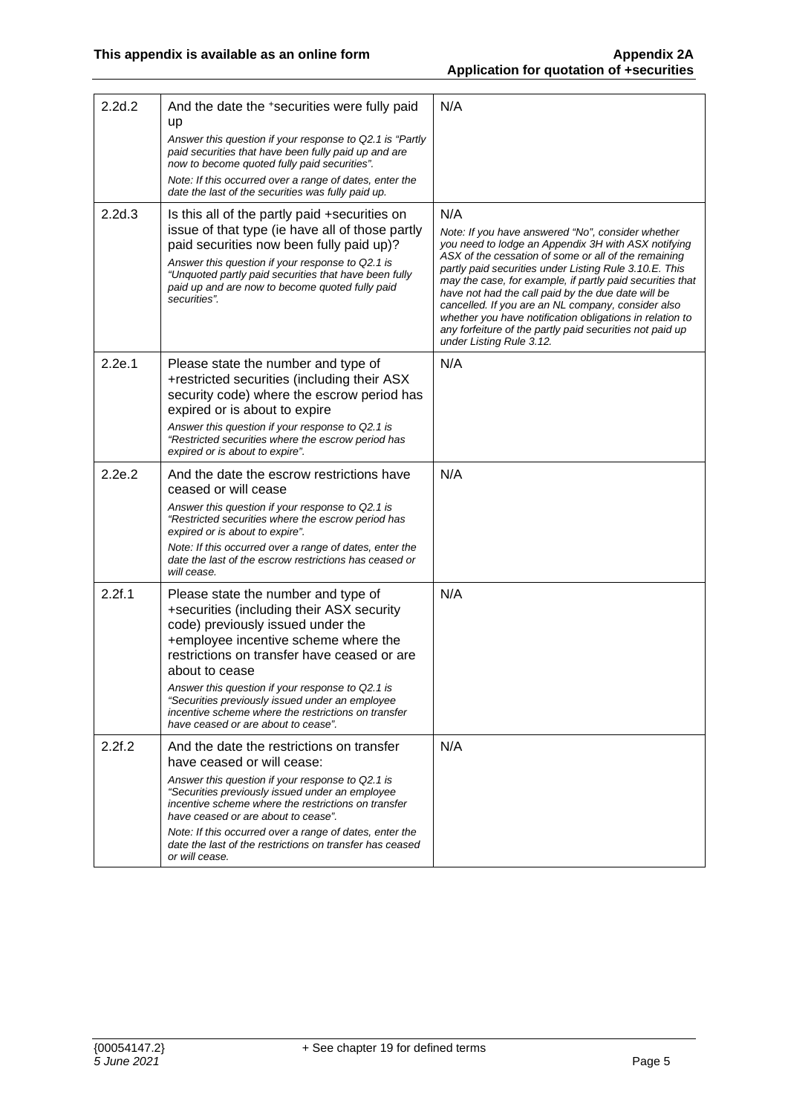| 2.2d.2 | And the date the +securities were fully paid<br>up<br>Answer this question if your response to Q2.1 is "Partly<br>paid securities that have been fully paid up and are<br>now to become quoted fully paid securities".<br>Note: If this occurred over a range of dates, enter the<br>date the last of the securities was fully paid up.                                                                                             | N/A                                                                                                                                                                                                                                                                                                                                                                                                                                                                                                                                                            |
|--------|-------------------------------------------------------------------------------------------------------------------------------------------------------------------------------------------------------------------------------------------------------------------------------------------------------------------------------------------------------------------------------------------------------------------------------------|----------------------------------------------------------------------------------------------------------------------------------------------------------------------------------------------------------------------------------------------------------------------------------------------------------------------------------------------------------------------------------------------------------------------------------------------------------------------------------------------------------------------------------------------------------------|
| 2.2d.3 | Is this all of the partly paid +securities on<br>issue of that type (ie have all of those partly<br>paid securities now been fully paid up)?<br>Answer this question if your response to Q2.1 is<br>"Unquoted partly paid securities that have been fully<br>paid up and are now to become quoted fully paid<br>securities".                                                                                                        | N/A<br>Note: If you have answered "No", consider whether<br>you need to lodge an Appendix 3H with ASX notifying<br>ASX of the cessation of some or all of the remaining<br>partly paid securities under Listing Rule 3.10.E. This<br>may the case, for example, if partly paid securities that<br>have not had the call paid by the due date will be<br>cancelled. If you are an NL company, consider also<br>whether you have notification obligations in relation to<br>any forfeiture of the partly paid securities not paid up<br>under Listing Rule 3.12. |
| 2.2e.1 | Please state the number and type of<br>+restricted securities (including their ASX<br>security code) where the escrow period has<br>expired or is about to expire<br>Answer this question if your response to Q2.1 is<br>"Restricted securities where the escrow period has<br>expired or is about to expire".                                                                                                                      | N/A                                                                                                                                                                                                                                                                                                                                                                                                                                                                                                                                                            |
| 2.2e.2 | And the date the escrow restrictions have<br>ceased or will cease<br>Answer this question if your response to Q2.1 is<br>"Restricted securities where the escrow period has<br>expired or is about to expire".<br>Note: If this occurred over a range of dates, enter the<br>date the last of the escrow restrictions has ceased or<br>will cease.                                                                                  | N/A                                                                                                                                                                                                                                                                                                                                                                                                                                                                                                                                                            |
| 2.2f.1 | Please state the number and type of<br>+securities (including their ASX security<br>code) previously issued under the<br>+employee incentive scheme where the<br>restrictions on transfer have ceased or are<br>about to cease<br>Answer this question if your response to Q2.1 is<br>"Securities previously issued under an employee<br>incentive scheme where the restrictions on transfer<br>have ceased or are about to cease". | N/A                                                                                                                                                                                                                                                                                                                                                                                                                                                                                                                                                            |
| 2.2f.2 | And the date the restrictions on transfer<br>have ceased or will cease:<br>Answer this question if your response to Q2.1 is<br>"Securities previously issued under an employee<br>incentive scheme where the restrictions on transfer<br>have ceased or are about to cease".<br>Note: If this occurred over a range of dates, enter the<br>date the last of the restrictions on transfer has ceased<br>or will cease.               | N/A                                                                                                                                                                                                                                                                                                                                                                                                                                                                                                                                                            |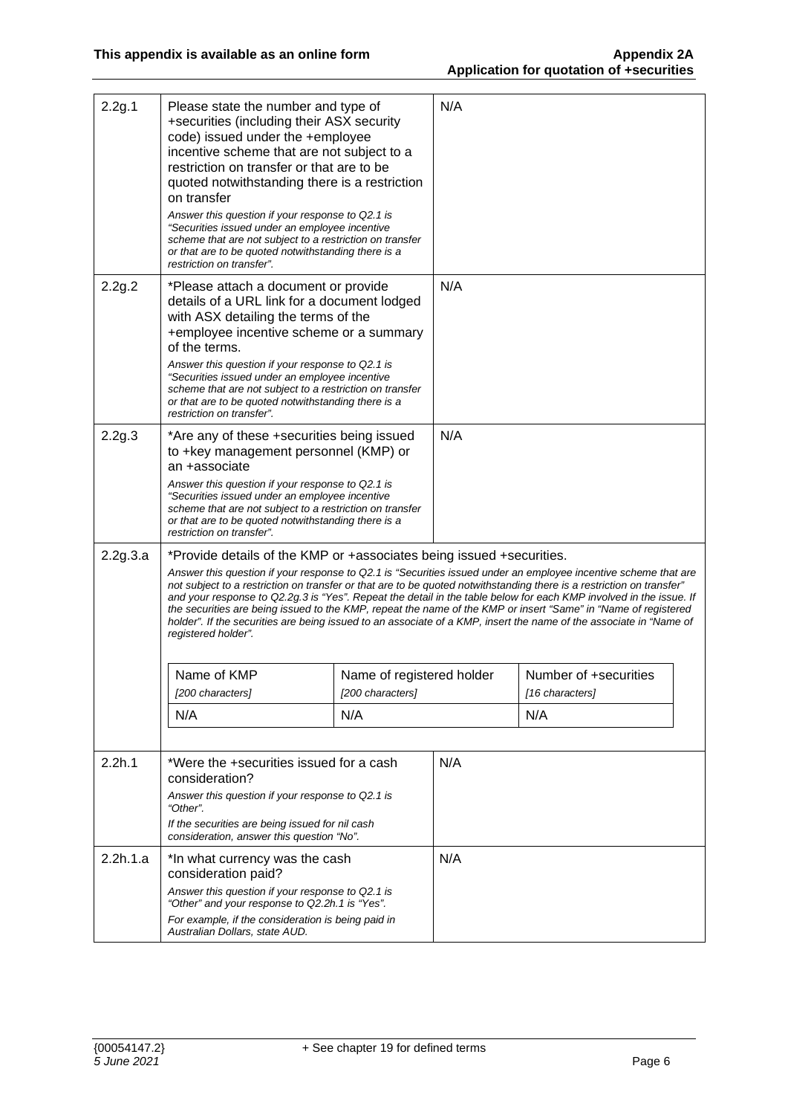| 2.2g.1   | Please state the number and type of<br>+securities (including their ASX security<br>code) issued under the +employee<br>incentive scheme that are not subject to a<br>restriction on transfer or that are to be<br>quoted notwithstanding there is a restriction<br>on transfer<br>Answer this question if your response to Q2.1 is<br>"Securities issued under an employee incentive<br>scheme that are not subject to a restriction on transfer<br>or that are to be quoted notwithstanding there is a<br>restriction on transfer".                                                                                                                                                                                                                                                     |     | N/A |                                          |  |
|----------|-------------------------------------------------------------------------------------------------------------------------------------------------------------------------------------------------------------------------------------------------------------------------------------------------------------------------------------------------------------------------------------------------------------------------------------------------------------------------------------------------------------------------------------------------------------------------------------------------------------------------------------------------------------------------------------------------------------------------------------------------------------------------------------------|-----|-----|------------------------------------------|--|
| 2.2g.2   | *Please attach a document or provide<br>details of a URL link for a document lodged<br>with ASX detailing the terms of the<br>+employee incentive scheme or a summary<br>of the terms.<br>Answer this question if your response to Q2.1 is<br>"Securities issued under an employee incentive<br>scheme that are not subject to a restriction on transfer<br>or that are to be quoted notwithstanding there is a<br>restriction on transfer".                                                                                                                                                                                                                                                                                                                                              |     | N/A |                                          |  |
| 2.2g.3   | *Are any of these +securities being issued<br>to +key management personnel (KMP) or<br>an +associate<br>Answer this question if your response to Q2.1 is<br>"Securities issued under an employee incentive<br>scheme that are not subject to a restriction on transfer<br>or that are to be quoted notwithstanding there is a<br>restriction on transfer".                                                                                                                                                                                                                                                                                                                                                                                                                                |     | N/A |                                          |  |
| 2.2g.3.a | *Provide details of the KMP or +associates being issued +securities.<br>Answer this question if your response to Q2.1 is "Securities issued under an employee incentive scheme that are<br>not subject to a restriction on transfer or that are to be quoted notwithstanding there is a restriction on transfer"<br>and your response to Q2.2g.3 is "Yes". Repeat the detail in the table below for each KMP involved in the issue. If<br>the securities are being issued to the KMP, repeat the name of the KMP or insert "Same" in "Name of registered<br>holder". If the securities are being issued to an associate of a KMP, insert the name of the associate in "Name of<br>registered holder".<br>Name of KMP<br>Name of registered holder<br>[200 characters]<br>[200 characters] |     |     | Number of +securities<br>[16 characters] |  |
|          | N/A                                                                                                                                                                                                                                                                                                                                                                                                                                                                                                                                                                                                                                                                                                                                                                                       | N/A |     | N/A                                      |  |
| 2.2h.1   | *Were the +securities issued for a cash<br>consideration?<br>Answer this question if your response to Q2.1 is<br>"Other".<br>If the securities are being issued for nil cash<br>consideration, answer this question "No".                                                                                                                                                                                                                                                                                                                                                                                                                                                                                                                                                                 |     | N/A |                                          |  |
| 2.2h.1.a | *In what currency was the cash<br>consideration paid?<br>Answer this question if your response to Q2.1 is<br>"Other" and your response to Q2.2h.1 is "Yes".<br>For example, if the consideration is being paid in<br>Australian Dollars, state AUD.                                                                                                                                                                                                                                                                                                                                                                                                                                                                                                                                       |     | N/A |                                          |  |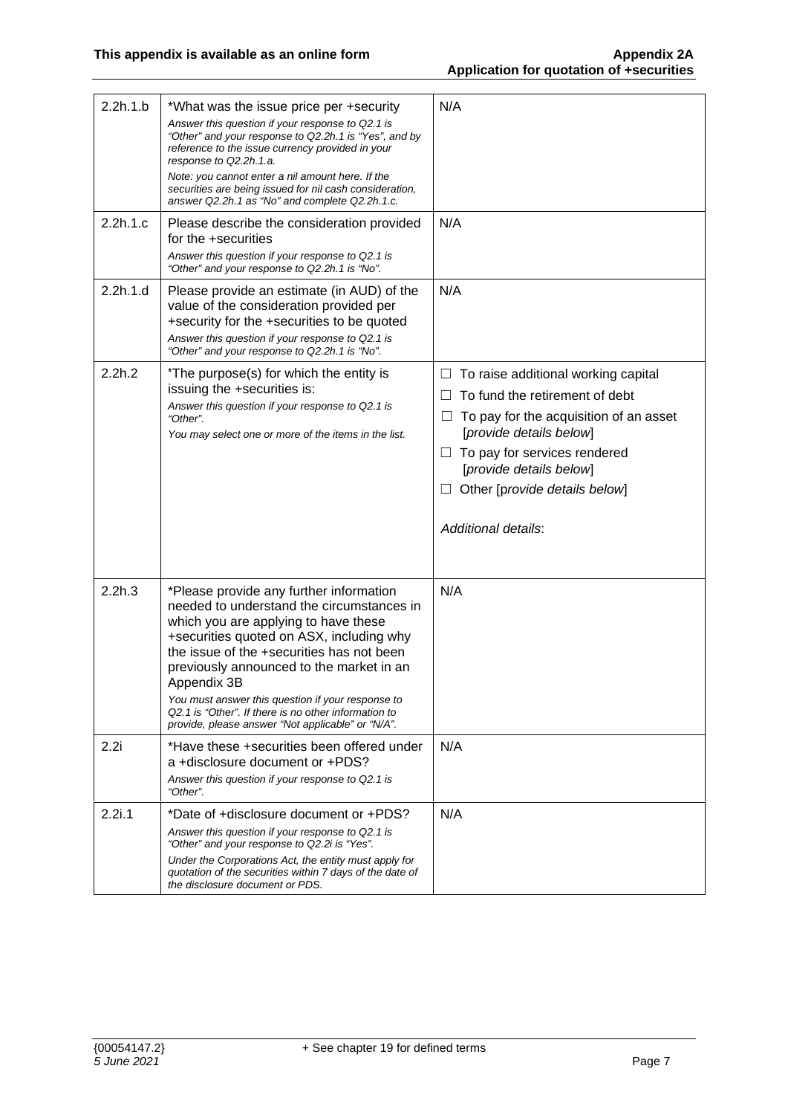| 2.2h.1.b |                                                                                                                                                                                                                                                                                                                                                                                                                                                    | N/A                                                                                                                                                                                                                                                                  |
|----------|----------------------------------------------------------------------------------------------------------------------------------------------------------------------------------------------------------------------------------------------------------------------------------------------------------------------------------------------------------------------------------------------------------------------------------------------------|----------------------------------------------------------------------------------------------------------------------------------------------------------------------------------------------------------------------------------------------------------------------|
|          | *What was the issue price per +security<br>Answer this question if your response to Q2.1 is<br>"Other" and your response to Q2.2h.1 is "Yes", and by<br>reference to the issue currency provided in your<br>response to Q2.2h.1.a.<br>Note: you cannot enter a nil amount here. If the<br>securities are being issued for nil cash consideration,<br>answer Q2.2h.1 as "No" and complete Q2.2h.1.c.                                                |                                                                                                                                                                                                                                                                      |
| 2.2h.1.c | Please describe the consideration provided<br>for the +securities<br>Answer this question if your response to Q2.1 is<br>"Other" and your response to Q2.2h.1 is "No".                                                                                                                                                                                                                                                                             | N/A                                                                                                                                                                                                                                                                  |
| 2.2h.1.d | Please provide an estimate (in AUD) of the<br>value of the consideration provided per<br>+security for the +securities to be quoted<br>Answer this question if your response to Q2.1 is<br>"Other" and your response to Q2.2h.1 is "No".                                                                                                                                                                                                           | N/A                                                                                                                                                                                                                                                                  |
| 2.2h.2   | *The purpose(s) for which the entity is<br>issuing the +securities is:<br>Answer this question if your response to Q2.1 is<br>"Other".<br>You may select one or more of the items in the list.                                                                                                                                                                                                                                                     | To raise additional working capital<br>To fund the retirement of debt<br>To pay for the acquisition of an asset<br>[provide details below]<br>$\Box$ To pay for services rendered<br>[provide details below]<br>Other [provide details below]<br>Additional details: |
| 2.2h.3   | *Please provide any further information<br>needed to understand the circumstances in<br>which you are applying to have these<br>+securities quoted on ASX, including why<br>the issue of the +securities has not been<br>previously announced to the market in an<br>Appendix 3B<br>You must answer this question if your response to<br>Q2.1 is "Other". If there is no other information to<br>provide, please answer "Not applicable" or "N/A". | N/A                                                                                                                                                                                                                                                                  |
| 2.2i     | *Have these +securities been offered under<br>a +disclosure document or +PDS?<br>Answer this question if your response to Q2.1 is<br>"Other".                                                                                                                                                                                                                                                                                                      | N/A                                                                                                                                                                                                                                                                  |
| 2.2i.1   | *Date of +disclosure document or +PDS?<br>Answer this question if your response to Q2.1 is<br>"Other" and your response to Q2.2i is "Yes".<br>Under the Corporations Act, the entity must apply for<br>quotation of the securities within 7 days of the date of<br>the disclosure document or PDS.                                                                                                                                                 | N/A                                                                                                                                                                                                                                                                  |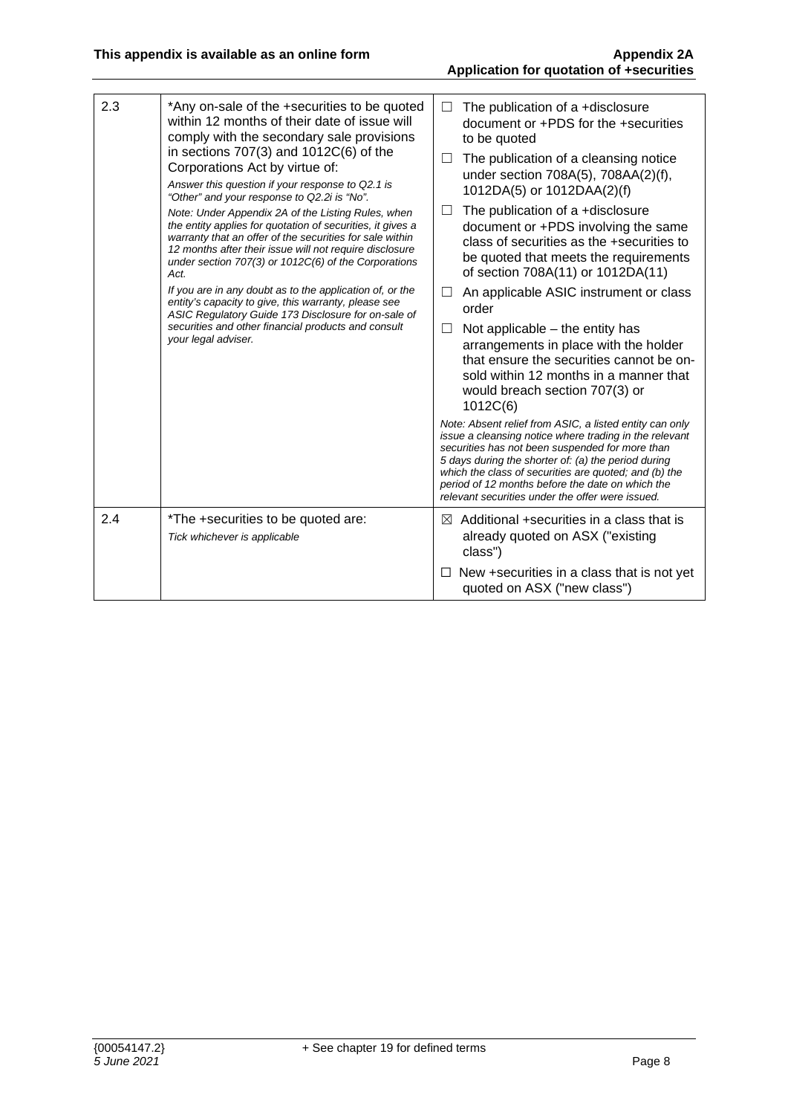| 2.3                                                                                                                                                                                                                                                                                                     | *Any on-sale of the +securities to be quoted<br>within 12 months of their date of issue will<br>comply with the secondary sale provisions<br>in sections $707(3)$ and $1012C(6)$ of the<br>Corporations Act by virtue of:<br>Answer this question if your response to Q2.1 is<br>"Other" and your response to Q2.2i is "No". | $\Box$<br>$\Box$                                                                                                                                                                                               | The publication of a +disclosure<br>document or +PDS for the +securities<br>to be quoted<br>The publication of a cleansing notice                                                                                                                                                                                                                                                            |
|---------------------------------------------------------------------------------------------------------------------------------------------------------------------------------------------------------------------------------------------------------------------------------------------------------|------------------------------------------------------------------------------------------------------------------------------------------------------------------------------------------------------------------------------------------------------------------------------------------------------------------------------|----------------------------------------------------------------------------------------------------------------------------------------------------------------------------------------------------------------|----------------------------------------------------------------------------------------------------------------------------------------------------------------------------------------------------------------------------------------------------------------------------------------------------------------------------------------------------------------------------------------------|
|                                                                                                                                                                                                                                                                                                         |                                                                                                                                                                                                                                                                                                                              |                                                                                                                                                                                                                | under section 708A(5), 708AA(2)(f),<br>1012DA(5) or 1012DAA(2)(f)                                                                                                                                                                                                                                                                                                                            |
| Note: Under Appendix 2A of the Listing Rules, when<br>the entity applies for quotation of securities, it gives a<br>warranty that an offer of the securities for sale within<br>12 months after their issue will not require disclosure<br>under section 707(3) or 1012C(6) of the Corporations<br>Act. | $\Box$                                                                                                                                                                                                                                                                                                                       | The publication of a +disclosure<br>document or +PDS involving the same<br>class of securities as the +securities to<br>be quoted that meets the requirements<br>of section 708A(11) or 1012DA(11)             |                                                                                                                                                                                                                                                                                                                                                                                              |
|                                                                                                                                                                                                                                                                                                         | If you are in any doubt as to the application of, or the<br>entity's capacity to give, this warranty, please see<br>ASIC Regulatory Guide 173 Disclosure for on-sale of                                                                                                                                                      | $\Box$                                                                                                                                                                                                         | An applicable ASIC instrument or class<br>order                                                                                                                                                                                                                                                                                                                                              |
| securities and other financial products and consult<br>your legal adviser.<br>2.4<br>*The +securities to be quoted are:<br>Tick whichever is applicable                                                                                                                                                 | $\Box$                                                                                                                                                                                                                                                                                                                       | Not applicable $-$ the entity has<br>arrangements in place with the holder<br>that ensure the securities cannot be on-<br>sold within 12 months in a manner that<br>would breach section 707(3) or<br>1012C(6) |                                                                                                                                                                                                                                                                                                                                                                                              |
|                                                                                                                                                                                                                                                                                                         |                                                                                                                                                                                                                                                                                                                              |                                                                                                                                                                                                                | Note: Absent relief from ASIC, a listed entity can only<br>issue a cleansing notice where trading in the relevant<br>securities has not been suspended for more than<br>5 days during the shorter of: (a) the period during<br>which the class of securities are quoted; and (b) the<br>period of 12 months before the date on which the<br>relevant securities under the offer were issued. |
|                                                                                                                                                                                                                                                                                                         |                                                                                                                                                                                                                                                                                                                              | $\bowtie$                                                                                                                                                                                                      | Additional +securities in a class that is<br>already quoted on ASX ("existing<br>class")                                                                                                                                                                                                                                                                                                     |
|                                                                                                                                                                                                                                                                                                         |                                                                                                                                                                                                                                                                                                                              | □                                                                                                                                                                                                              | New +securities in a class that is not yet<br>quoted on ASX ("new class")                                                                                                                                                                                                                                                                                                                    |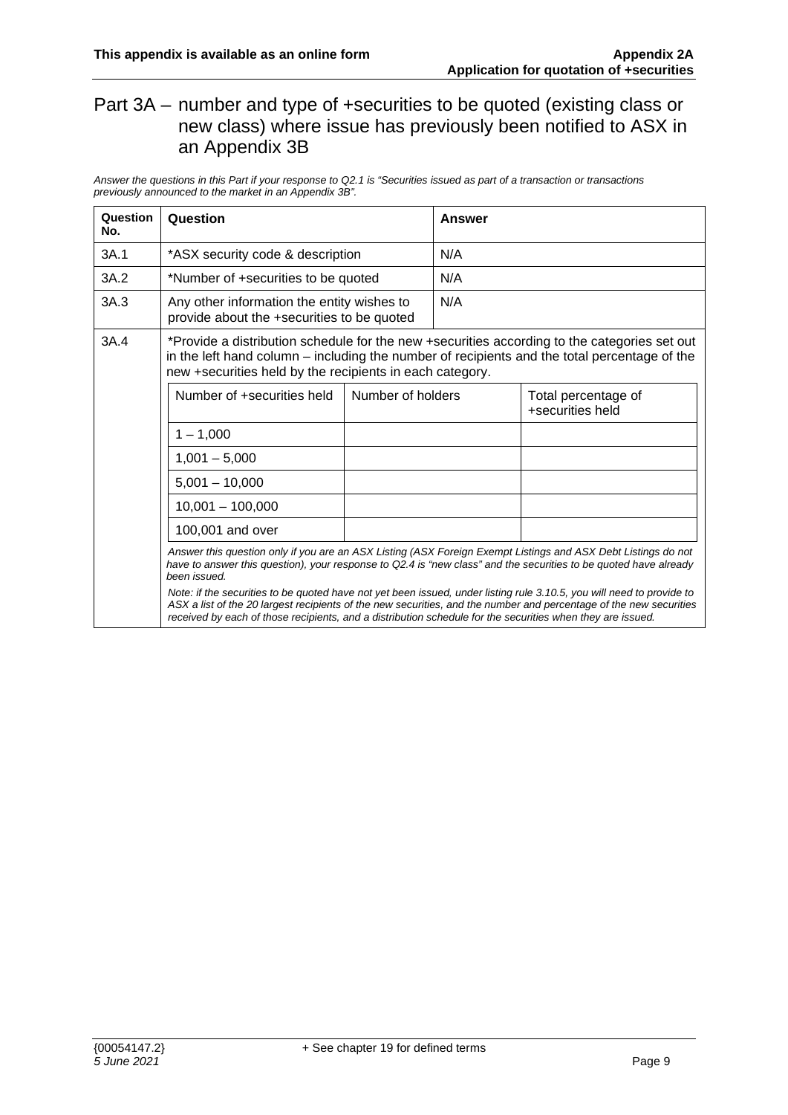#### Part 3A – number and type of +securities to be quoted (existing class or new class) where issue has previously been notified to ASX in an Appendix 3B

*Answer the questions in this Part if your response to Q2.1 is "Securities issued as part of a transaction or transactions previously announced to the market in an Appendix 3B".* 

| Question<br>No. | Question                                                                                                                                                                                                                                                                                                                                                                                                                                                                                                                                                                                                       |  | Answer |                                         |  |
|-----------------|----------------------------------------------------------------------------------------------------------------------------------------------------------------------------------------------------------------------------------------------------------------------------------------------------------------------------------------------------------------------------------------------------------------------------------------------------------------------------------------------------------------------------------------------------------------------------------------------------------------|--|--------|-----------------------------------------|--|
| 3A.1            | *ASX security code & description                                                                                                                                                                                                                                                                                                                                                                                                                                                                                                                                                                               |  | N/A    |                                         |  |
| 3A.2            | *Number of +securities to be quoted                                                                                                                                                                                                                                                                                                                                                                                                                                                                                                                                                                            |  | N/A    |                                         |  |
| 3A.3            | Any other information the entity wishes to<br>provide about the +securities to be quoted                                                                                                                                                                                                                                                                                                                                                                                                                                                                                                                       |  | N/A    |                                         |  |
| 3A.4            | *Provide a distribution schedule for the new +securities according to the categories set out<br>in the left hand column – including the number of recipients and the total percentage of the<br>new +securities held by the recipients in each category.<br>Number of +securities held<br>Number of holders                                                                                                                                                                                                                                                                                                    |  |        |                                         |  |
|                 |                                                                                                                                                                                                                                                                                                                                                                                                                                                                                                                                                                                                                |  |        | Total percentage of<br>+securities held |  |
|                 | $1 - 1,000$                                                                                                                                                                                                                                                                                                                                                                                                                                                                                                                                                                                                    |  |        |                                         |  |
|                 | $1,001 - 5,000$                                                                                                                                                                                                                                                                                                                                                                                                                                                                                                                                                                                                |  |        |                                         |  |
|                 | $5,001 - 10,000$                                                                                                                                                                                                                                                                                                                                                                                                                                                                                                                                                                                               |  |        |                                         |  |
|                 | $10,001 - 100,000$                                                                                                                                                                                                                                                                                                                                                                                                                                                                                                                                                                                             |  |        |                                         |  |
|                 | 100,001 and over                                                                                                                                                                                                                                                                                                                                                                                                                                                                                                                                                                                               |  |        |                                         |  |
|                 | Answer this question only if you are an ASX Listing (ASX Foreign Exempt Listings and ASX Debt Listings do not<br>have to answer this question), your response to Q2.4 is "new class" and the securities to be quoted have already<br>been issued.<br>Note: if the securities to be quoted have not yet been issued, under listing rule 3.10.5, you will need to provide to<br>ASX a list of the 20 largest recipients of the new securities, and the number and percentage of the new securities<br>received by each of those recipients, and a distribution schedule for the securities when they are issued. |  |        |                                         |  |
|                 |                                                                                                                                                                                                                                                                                                                                                                                                                                                                                                                                                                                                                |  |        |                                         |  |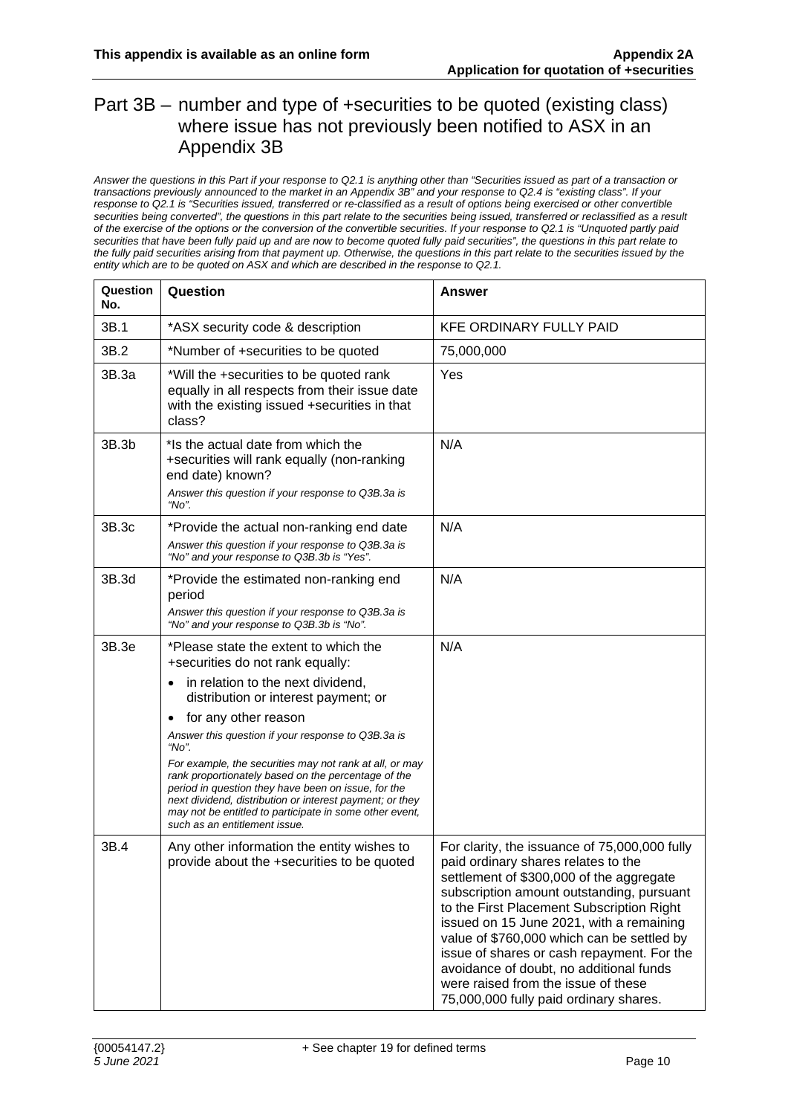#### Part 3B – number and type of +securities to be quoted (existing class) where issue has not previously been notified to ASX in an Appendix 3B

*Answer the questions in this Part if your response to Q2.1 is anything other than "Securities issued as part of a transaction or transactions previously announced to the market in an Appendix 3B" and your response to Q2.4 is "existing class". If your response to Q2.1 is "Securities issued, transferred or re-classified as a result of options being exercised or other convertible*  securities being converted", the questions in this part relate to the securities being issued, transferred or reclassified as a result *of the exercise of the options or the conversion of the convertible securities. If your response to Q2.1 is "Unquoted partly paid securities that have been fully paid up and are now to become quoted fully paid securities", the questions in this part relate to the fully paid securities arising from that payment up. Otherwise, the questions in this part relate to the securities issued by the entity which are to be quoted on ASX and which are described in the response to Q2.1.* 

| Question<br>No. | Question                                                                                                                                                                                                                                                                                                                               | <b>Answer</b>                                                                                                                                                                                                                                                                                                                                                                                                                                                                                  |
|-----------------|----------------------------------------------------------------------------------------------------------------------------------------------------------------------------------------------------------------------------------------------------------------------------------------------------------------------------------------|------------------------------------------------------------------------------------------------------------------------------------------------------------------------------------------------------------------------------------------------------------------------------------------------------------------------------------------------------------------------------------------------------------------------------------------------------------------------------------------------|
| 3B.1            | *ASX security code & description                                                                                                                                                                                                                                                                                                       | <b>KFE ORDINARY FULLY PAID</b>                                                                                                                                                                                                                                                                                                                                                                                                                                                                 |
| 3B.2            | *Number of +securities to be quoted                                                                                                                                                                                                                                                                                                    | 75,000,000                                                                                                                                                                                                                                                                                                                                                                                                                                                                                     |
| 3B.3a           | *Will the +securities to be quoted rank<br>equally in all respects from their issue date<br>with the existing issued +securities in that<br>class?                                                                                                                                                                                     | Yes                                                                                                                                                                                                                                                                                                                                                                                                                                                                                            |
| 3B.3b           | *Is the actual date from which the<br>+securities will rank equally (non-ranking<br>end date) known?<br>Answer this question if your response to Q3B.3a is<br>"No".                                                                                                                                                                    | N/A                                                                                                                                                                                                                                                                                                                                                                                                                                                                                            |
| 3B.3c           | *Provide the actual non-ranking end date<br>Answer this question if your response to Q3B.3a is<br>"No" and your response to Q3B.3b is "Yes".                                                                                                                                                                                           | N/A                                                                                                                                                                                                                                                                                                                                                                                                                                                                                            |
| 3B.3d           | *Provide the estimated non-ranking end<br>period<br>Answer this question if your response to Q3B.3a is<br>"No" and your response to Q3B.3b is "No".                                                                                                                                                                                    | N/A                                                                                                                                                                                                                                                                                                                                                                                                                                                                                            |
| 3B.3e           | *Please state the extent to which the<br>+securities do not rank equally:                                                                                                                                                                                                                                                              | N/A                                                                                                                                                                                                                                                                                                                                                                                                                                                                                            |
|                 | in relation to the next dividend,<br>٠<br>distribution or interest payment; or                                                                                                                                                                                                                                                         |                                                                                                                                                                                                                                                                                                                                                                                                                                                                                                |
|                 | for any other reason<br>٠<br>Answer this question if your response to Q3B.3a is                                                                                                                                                                                                                                                        |                                                                                                                                                                                                                                                                                                                                                                                                                                                                                                |
|                 | "No".<br>For example, the securities may not rank at all, or may<br>rank proportionately based on the percentage of the<br>period in question they have been on issue, for the<br>next dividend, distribution or interest payment; or they<br>may not be entitled to participate in some other event,<br>such as an entitlement issue. |                                                                                                                                                                                                                                                                                                                                                                                                                                                                                                |
| 3B.4            | Any other information the entity wishes to<br>provide about the +securities to be quoted                                                                                                                                                                                                                                               | For clarity, the issuance of 75,000,000 fully<br>paid ordinary shares relates to the<br>settlement of \$300,000 of the aggregate<br>subscription amount outstanding, pursuant<br>to the First Placement Subscription Right<br>issued on 15 June 2021, with a remaining<br>value of \$760,000 which can be settled by<br>issue of shares or cash repayment. For the<br>avoidance of doubt, no additional funds<br>were raised from the issue of these<br>75,000,000 fully paid ordinary shares. |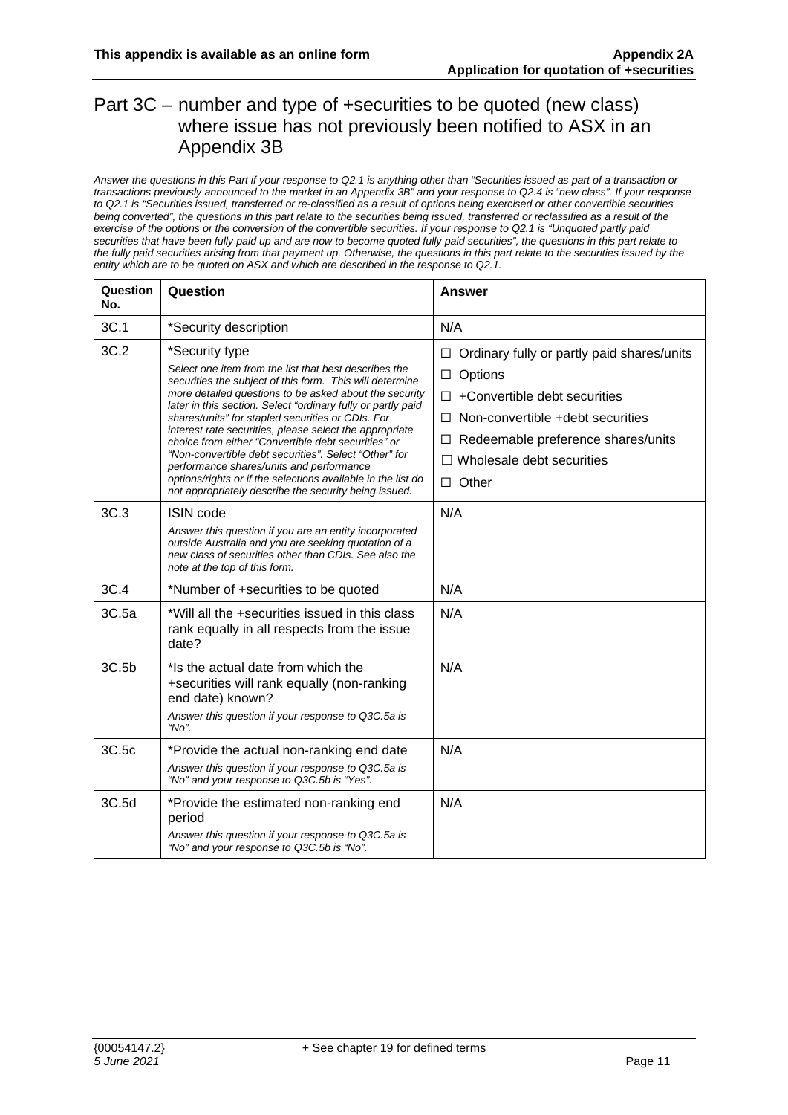#### Part 3C – number and type of +securities to be quoted (new class) where issue has not previously been notified to ASX in an Appendix 3B

*Answer the questions in this Part if your response to Q2.1 is anything other than "Securities issued as part of a transaction or transactions previously announced to the market in an Appendix 3B" and your response to Q2.4 is "new class". If your response to Q2.1 is "Securities issued, transferred or re-classified as a result of options being exercised or other convertible securities*  being converted", the questions in this part relate to the securities being issued, transferred or reclassified as a result of the *exercise of the options or the conversion of the convertible securities. If your response to Q2.1 is "Unquoted partly paid securities that have been fully paid up and are now to become quoted fully paid securities", the questions in this part relate to the fully paid securities arising from that payment up. Otherwise, the questions in this part relate to the securities issued by the entity which are to be quoted on ASX and which are described in the response to Q2.1.* 

| Question<br>No. | Question                                                                                                                                                                                                                                                                                                                                                                                                                                                                                                                                                                                                                                                           | Answer                                                                                                                                                                                                                                           |
|-----------------|--------------------------------------------------------------------------------------------------------------------------------------------------------------------------------------------------------------------------------------------------------------------------------------------------------------------------------------------------------------------------------------------------------------------------------------------------------------------------------------------------------------------------------------------------------------------------------------------------------------------------------------------------------------------|--------------------------------------------------------------------------------------------------------------------------------------------------------------------------------------------------------------------------------------------------|
| 3C.1            | *Security description                                                                                                                                                                                                                                                                                                                                                                                                                                                                                                                                                                                                                                              | N/A                                                                                                                                                                                                                                              |
| 3C.2            | *Security type<br>Select one item from the list that best describes the<br>securities the subject of this form. This will determine<br>more detailed questions to be asked about the security<br>later in this section. Select "ordinary fully or partly paid<br>shares/units" for stapled securities or CDIs. For<br>interest rate securities, please select the appropriate<br>choice from either "Convertible debt securities" or<br>"Non-convertible debt securities". Select "Other" for<br>performance shares/units and performance<br>options/rights or if the selections available in the list do<br>not appropriately describe the security being issued. | Ordinary fully or partly paid shares/units<br>ப<br>Options<br>$\Box$<br>+Convertible debt securities<br>$\Box$<br>Non-convertible +debt securities<br>П.<br>Redeemable preference shares/units<br>□<br>Wholesale debt securities<br>$\Box$ Other |
| 3C.3            | <b>ISIN code</b><br>Answer this question if you are an entity incorporated<br>outside Australia and you are seeking quotation of a<br>new class of securities other than CDIs. See also the<br>note at the top of this form.                                                                                                                                                                                                                                                                                                                                                                                                                                       | N/A                                                                                                                                                                                                                                              |
| 3C.4            | *Number of +securities to be quoted                                                                                                                                                                                                                                                                                                                                                                                                                                                                                                                                                                                                                                | N/A                                                                                                                                                                                                                                              |
| 3C.5a           | *Will all the +securities issued in this class<br>rank equally in all respects from the issue<br>date?                                                                                                                                                                                                                                                                                                                                                                                                                                                                                                                                                             | N/A                                                                                                                                                                                                                                              |
| 3C.5b           | *Is the actual date from which the<br>+securities will rank equally (non-ranking<br>end date) known?<br>Answer this question if your response to Q3C.5a is<br>"No".                                                                                                                                                                                                                                                                                                                                                                                                                                                                                                | N/A                                                                                                                                                                                                                                              |
| 3C.5c           | *Provide the actual non-ranking end date<br>Answer this question if your response to Q3C.5a is<br>"No" and your response to Q3C.5b is "Yes".                                                                                                                                                                                                                                                                                                                                                                                                                                                                                                                       | N/A                                                                                                                                                                                                                                              |
| 3C.5d           | *Provide the estimated non-ranking end<br>period<br>Answer this question if your response to Q3C.5a is<br>"No" and your response to Q3C.5b is "No".                                                                                                                                                                                                                                                                                                                                                                                                                                                                                                                | N/A                                                                                                                                                                                                                                              |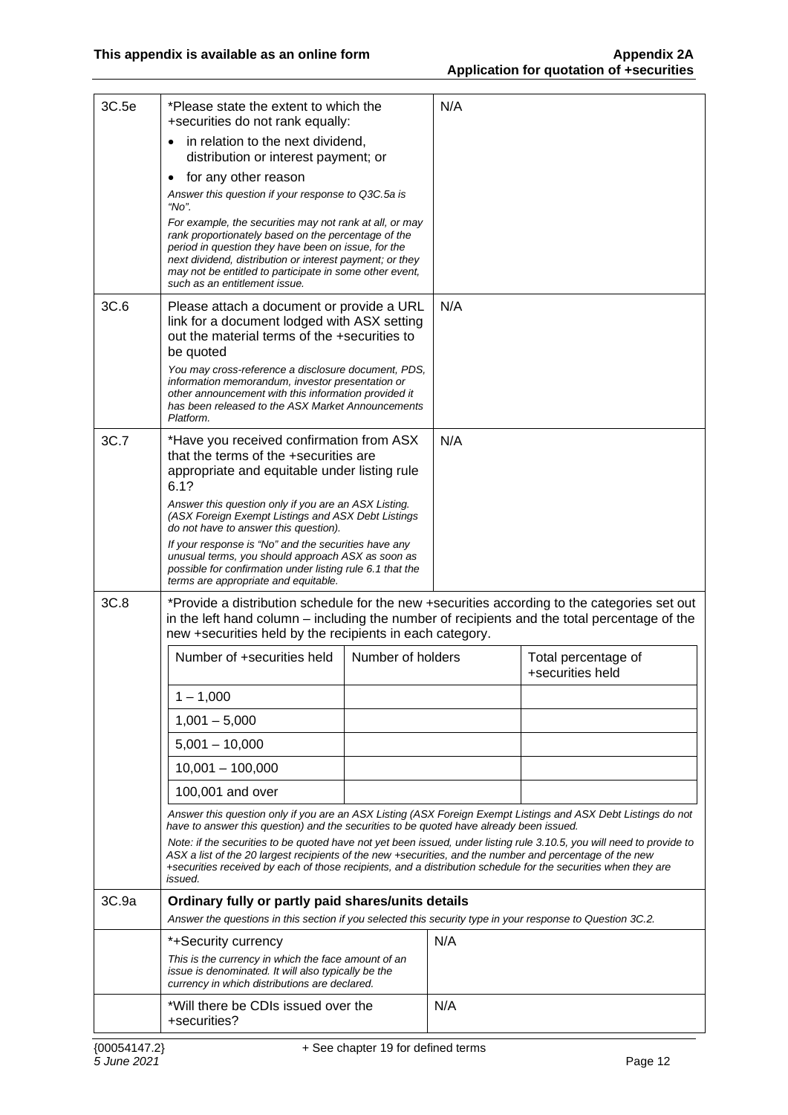| 3C.5e | *Please state the extent to which the<br>+securities do not rank equally:                                                                                                                                                                                                                                                                                                                                                                                                                                                                                                  |                   | N/A |                                                                                              |  |
|-------|----------------------------------------------------------------------------------------------------------------------------------------------------------------------------------------------------------------------------------------------------------------------------------------------------------------------------------------------------------------------------------------------------------------------------------------------------------------------------------------------------------------------------------------------------------------------------|-------------------|-----|----------------------------------------------------------------------------------------------|--|
|       | in relation to the next dividend,<br>distribution or interest payment; or                                                                                                                                                                                                                                                                                                                                                                                                                                                                                                  |                   |     |                                                                                              |  |
|       | for any other reason<br>$\bullet$                                                                                                                                                                                                                                                                                                                                                                                                                                                                                                                                          |                   |     |                                                                                              |  |
|       | Answer this question if your response to Q3C.5a is<br>"No".                                                                                                                                                                                                                                                                                                                                                                                                                                                                                                                |                   |     |                                                                                              |  |
|       | For example, the securities may not rank at all, or may<br>rank proportionately based on the percentage of the<br>period in question they have been on issue, for the<br>next dividend, distribution or interest payment; or they<br>may not be entitled to participate in some other event,<br>such as an entitlement issue.                                                                                                                                                                                                                                              |                   |     |                                                                                              |  |
| 3C.6  | Please attach a document or provide a URL<br>link for a document lodged with ASX setting<br>out the material terms of the +securities to<br>be quoted<br>You may cross-reference a disclosure document, PDS,<br>information memorandum, investor presentation or                                                                                                                                                                                                                                                                                                           |                   | N/A |                                                                                              |  |
|       | other announcement with this information provided it<br>has been released to the ASX Market Announcements<br>Platform.                                                                                                                                                                                                                                                                                                                                                                                                                                                     |                   |     |                                                                                              |  |
| 3C.7  | *Have you received confirmation from ASX<br>that the terms of the +securities are<br>appropriate and equitable under listing rule<br>6.1?                                                                                                                                                                                                                                                                                                                                                                                                                                  |                   | N/A |                                                                                              |  |
|       | Answer this question only if you are an ASX Listing.<br>(ASX Foreign Exempt Listings and ASX Debt Listings<br>do not have to answer this question).                                                                                                                                                                                                                                                                                                                                                                                                                        |                   |     |                                                                                              |  |
|       | If your response is "No" and the securities have any<br>unusual terms, you should approach ASX as soon as<br>possible for confirmation under listing rule 6.1 that the<br>terms are appropriate and equitable.                                                                                                                                                                                                                                                                                                                                                             |                   |     |                                                                                              |  |
| 3C.8  | in the left hand column – including the number of recipients and the total percentage of the<br>new +securities held by the recipients in each category.                                                                                                                                                                                                                                                                                                                                                                                                                   |                   |     | *Provide a distribution schedule for the new +securities according to the categories set out |  |
|       | Number of +securities held                                                                                                                                                                                                                                                                                                                                                                                                                                                                                                                                                 | Number of holders |     | Total percentage of<br>+securities held                                                      |  |
|       | $1 - 1,000$                                                                                                                                                                                                                                                                                                                                                                                                                                                                                                                                                                |                   |     |                                                                                              |  |
|       | $1,001 - 5,000$                                                                                                                                                                                                                                                                                                                                                                                                                                                                                                                                                            |                   |     |                                                                                              |  |
|       | $5,001 - 10,000$                                                                                                                                                                                                                                                                                                                                                                                                                                                                                                                                                           |                   |     |                                                                                              |  |
|       | $10,001 - 100,000$                                                                                                                                                                                                                                                                                                                                                                                                                                                                                                                                                         |                   |     |                                                                                              |  |
|       | 100,001 and over                                                                                                                                                                                                                                                                                                                                                                                                                                                                                                                                                           |                   |     |                                                                                              |  |
|       | Answer this question only if you are an ASX Listing (ASX Foreign Exempt Listings and ASX Debt Listings do not<br>have to answer this question) and the securities to be quoted have already been issued.<br>Note: if the securities to be quoted have not yet been issued, under listing rule 3.10.5, you will need to provide to<br>ASX a list of the 20 largest recipients of the new +securities, and the number and percentage of the new<br>+securities received by each of those recipients, and a distribution schedule for the securities when they are<br>issued. |                   |     |                                                                                              |  |
| 3C.9a | Ordinary fully or partly paid shares/units details<br>Answer the questions in this section if you selected this security type in your response to Question 3C.2.                                                                                                                                                                                                                                                                                                                                                                                                           |                   |     |                                                                                              |  |
|       | *+Security currency                                                                                                                                                                                                                                                                                                                                                                                                                                                                                                                                                        |                   | N/A |                                                                                              |  |
|       | This is the currency in which the face amount of an<br>issue is denominated. It will also typically be the<br>currency in which distributions are declared.                                                                                                                                                                                                                                                                                                                                                                                                                |                   |     |                                                                                              |  |
|       | *Will there be CDIs issued over the<br>+securities?                                                                                                                                                                                                                                                                                                                                                                                                                                                                                                                        |                   | N/A |                                                                                              |  |
|       |                                                                                                                                                                                                                                                                                                                                                                                                                                                                                                                                                                            |                   |     |                                                                                              |  |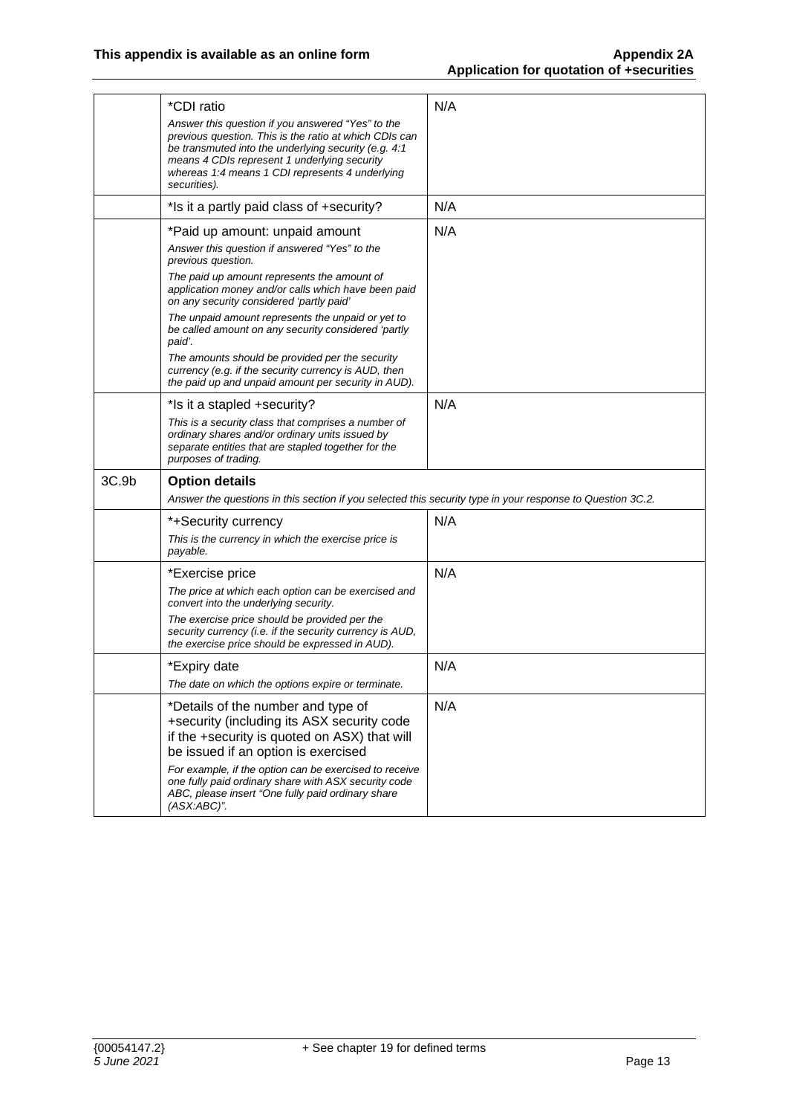|       | *CDI ratio<br>Answer this question if you answered "Yes" to the<br>previous question. This is the ratio at which CDIs can<br>be transmuted into the underlying security (e.g. 4:1<br>means 4 CDIs represent 1 underlying security<br>whereas 1:4 means 1 CDI represents 4 underlying<br>securities). | N/A |
|-------|------------------------------------------------------------------------------------------------------------------------------------------------------------------------------------------------------------------------------------------------------------------------------------------------------|-----|
|       | *Is it a partly paid class of +security?                                                                                                                                                                                                                                                             | N/A |
|       | *Paid up amount: unpaid amount<br>Answer this question if answered "Yes" to the<br>previous question.                                                                                                                                                                                                | N/A |
|       | The paid up amount represents the amount of<br>application money and/or calls which have been paid<br>on any security considered 'partly paid'                                                                                                                                                       |     |
|       | The unpaid amount represents the unpaid or yet to<br>be called amount on any security considered 'partly<br>paid'.                                                                                                                                                                                   |     |
|       | The amounts should be provided per the security<br>currency (e.g. if the security currency is AUD, then<br>the paid up and unpaid amount per security in AUD).                                                                                                                                       |     |
|       | *Is it a stapled +security?                                                                                                                                                                                                                                                                          | N/A |
|       | This is a security class that comprises a number of<br>ordinary shares and/or ordinary units issued by<br>separate entities that are stapled together for the<br>purposes of trading.                                                                                                                |     |
| 3C.9b | <b>Option details</b>                                                                                                                                                                                                                                                                                |     |
|       | Answer the questions in this section if you selected this security type in your response to Question 3C.2.                                                                                                                                                                                           |     |
|       | *+Security currency<br>This is the currency in which the exercise price is                                                                                                                                                                                                                           | N/A |
|       | payable.                                                                                                                                                                                                                                                                                             |     |
|       | *Exercise price<br>The price at which each option can be exercised and<br>convert into the underlying security.<br>The exercise price should be provided per the<br>security currency (i.e. if the security currency is AUD,<br>the exercise price should be expressed in AUD).                      | N/A |
|       | *Expiry date<br>The date on which the options expire or terminate.                                                                                                                                                                                                                                   | N/A |
|       | *Details of the number and type of<br>+security (including its ASX security code<br>if the +security is quoted on ASX) that will<br>be issued if an option is exercised<br>For example, if the option can be exercised to receive                                                                    | N/A |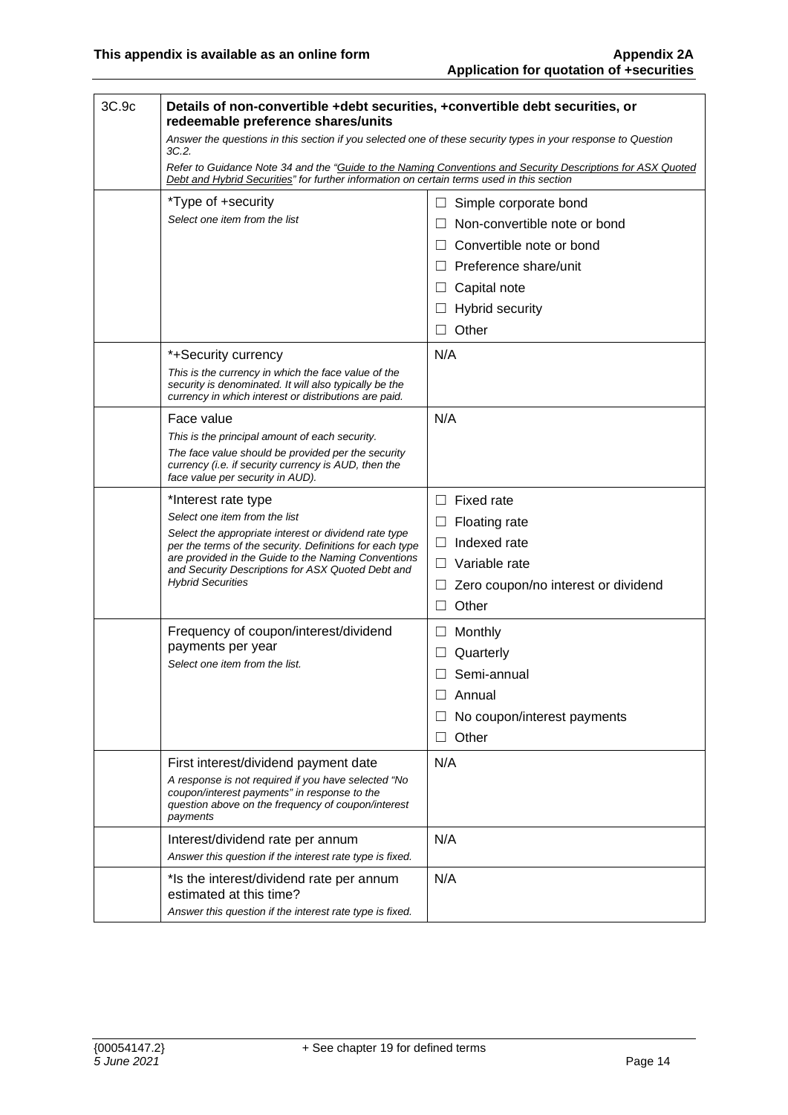| 3C.9c | Details of non-convertible +debt securities, +convertible debt securities, or<br>redeemable preference shares/units                                                                                                                                                                                               |                                                                                                                                                                  |
|-------|-------------------------------------------------------------------------------------------------------------------------------------------------------------------------------------------------------------------------------------------------------------------------------------------------------------------|------------------------------------------------------------------------------------------------------------------------------------------------------------------|
|       | Answer the questions in this section if you selected one of these security types in your response to Question<br>3C.2.                                                                                                                                                                                            |                                                                                                                                                                  |
|       | Refer to Guidance Note 34 and the "Guide to the Naming Conventions and Security Descriptions for ASX Quoted<br>Debt and Hybrid Securities" for further information on certain terms used in this section                                                                                                          |                                                                                                                                                                  |
|       | *Type of +security<br>Select one item from the list                                                                                                                                                                                                                                                               | ш<br>Simple corporate bond<br>Non-convertible note or bond<br>Convertible note or bond<br>Preference share/unit<br>$\Box$<br>Capital note                        |
|       |                                                                                                                                                                                                                                                                                                                   | Hybrid security<br>Other<br>П                                                                                                                                    |
|       | *+Security currency<br>This is the currency in which the face value of the<br>security is denominated. It will also typically be the<br>currency in which interest or distributions are paid.                                                                                                                     | N/A                                                                                                                                                              |
|       | Face value<br>This is the principal amount of each security.<br>The face value should be provided per the security<br>currency (i.e. if security currency is AUD, then the<br>face value per security in AUD).                                                                                                    | N/A                                                                                                                                                              |
|       | *Interest rate type<br>Select one item from the list<br>Select the appropriate interest or dividend rate type<br>per the terms of the security. Definitions for each type<br>are provided in the Guide to the Naming Conventions<br>and Security Descriptions for ASX Quoted Debt and<br><b>Hybrid Securities</b> | Fixed rate<br>П<br>Floating rate<br>$\Box$<br>Indexed rate<br>$\perp$<br>Variable rate<br>П<br>Zero coupon/no interest or dividend<br>$\Box$<br>Other<br>$\perp$ |
|       | Frequency of coupon/interest/dividend<br>payments per year<br>Select one item from the list.                                                                                                                                                                                                                      | Monthly<br>$\Box$<br>Quarterly<br>Semi-annual<br>Annual<br>No coupon/interest payments<br>Other<br>$\mathsf{L}$                                                  |
|       | First interest/dividend payment date<br>A response is not required if you have selected "No<br>coupon/interest payments" in response to the<br>question above on the frequency of coupon/interest<br>payments                                                                                                     | N/A                                                                                                                                                              |
|       | Interest/dividend rate per annum<br>Answer this question if the interest rate type is fixed.                                                                                                                                                                                                                      | N/A                                                                                                                                                              |
|       | *Is the interest/dividend rate per annum<br>estimated at this time?<br>Answer this question if the interest rate type is fixed.                                                                                                                                                                                   | N/A                                                                                                                                                              |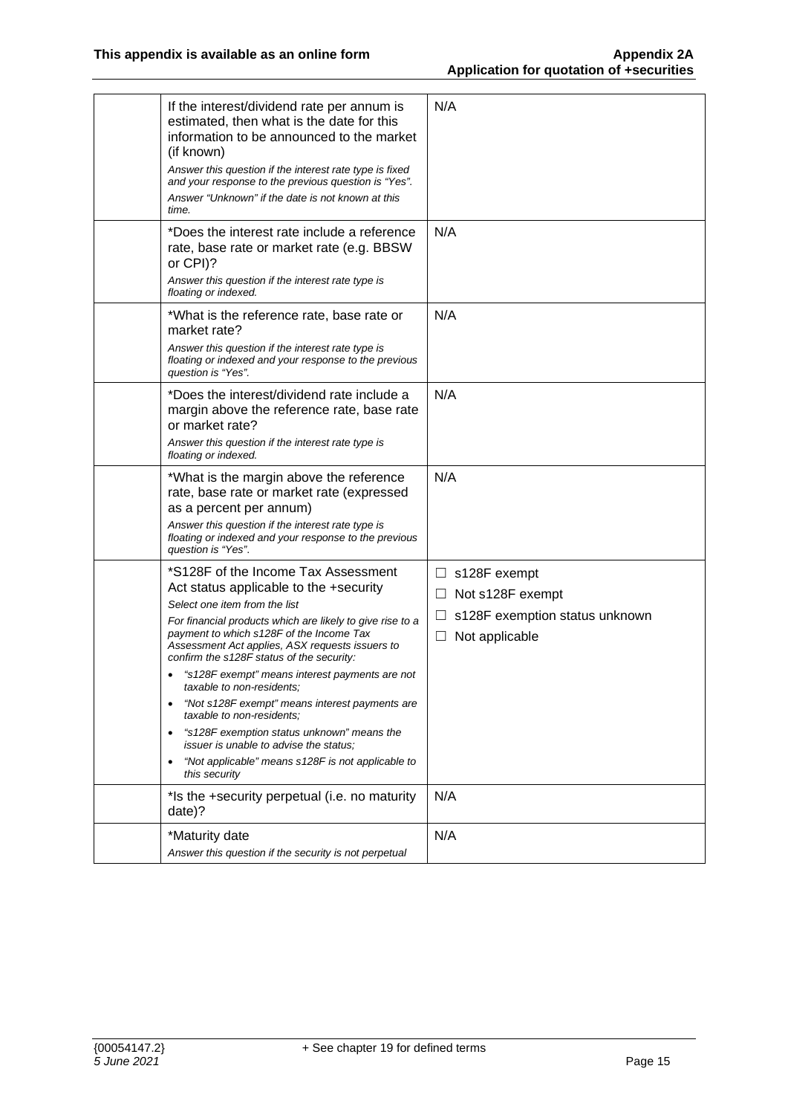| If the interest/dividend rate per annum is<br>estimated, then what is the date for this<br>information to be announced to the market<br>(if known)<br>Answer this question if the interest rate type is fixed<br>and your response to the previous question is "Yes".<br>Answer "Unknown" if the date is not known at this<br>time.                                                                                                                                                                                                                                                                                                                              | N/A                                                                                                                         |
|------------------------------------------------------------------------------------------------------------------------------------------------------------------------------------------------------------------------------------------------------------------------------------------------------------------------------------------------------------------------------------------------------------------------------------------------------------------------------------------------------------------------------------------------------------------------------------------------------------------------------------------------------------------|-----------------------------------------------------------------------------------------------------------------------------|
| *Does the interest rate include a reference<br>rate, base rate or market rate (e.g. BBSW<br>or CPI)?<br>Answer this question if the interest rate type is<br>floating or indexed.                                                                                                                                                                                                                                                                                                                                                                                                                                                                                | N/A                                                                                                                         |
| *What is the reference rate, base rate or<br>market rate?<br>Answer this question if the interest rate type is<br>floating or indexed and your response to the previous<br>question is "Yes".                                                                                                                                                                                                                                                                                                                                                                                                                                                                    | N/A                                                                                                                         |
| *Does the interest/dividend rate include a<br>margin above the reference rate, base rate<br>or market rate?<br>Answer this question if the interest rate type is<br>floating or indexed.                                                                                                                                                                                                                                                                                                                                                                                                                                                                         | N/A                                                                                                                         |
| *What is the margin above the reference<br>rate, base rate or market rate (expressed<br>as a percent per annum)<br>Answer this question if the interest rate type is<br>floating or indexed and your response to the previous<br>question is "Yes".                                                                                                                                                                                                                                                                                                                                                                                                              | N/A                                                                                                                         |
| *S128F of the Income Tax Assessment<br>Act status applicable to the +security<br>Select one item from the list<br>For financial products which are likely to give rise to a<br>payment to which s128F of the Income Tax<br>Assessment Act applies, ASX requests issuers to<br>confirm the s128F status of the security:<br>"s128F exempt" means interest payments are not<br>taxable to non-residents;<br>"Not s128F exempt" means interest payments are<br>taxable to non-residents;<br>"s128F exemption status unknown" means the<br>$\bullet$<br>issuer is unable to advise the status;<br>"Not applicable" means s128F is not applicable to<br>this security | $\Box$ s128F exempt<br>Not s128F exempt<br>$\Box$<br>s128F exemption status unknown<br>$\Box$<br>Not applicable<br>$\sqcup$ |
| *Is the +security perpetual (i.e. no maturity<br>date)?                                                                                                                                                                                                                                                                                                                                                                                                                                                                                                                                                                                                          | N/A                                                                                                                         |
| *Maturity date<br>Answer this question if the security is not perpetual                                                                                                                                                                                                                                                                                                                                                                                                                                                                                                                                                                                          | N/A                                                                                                                         |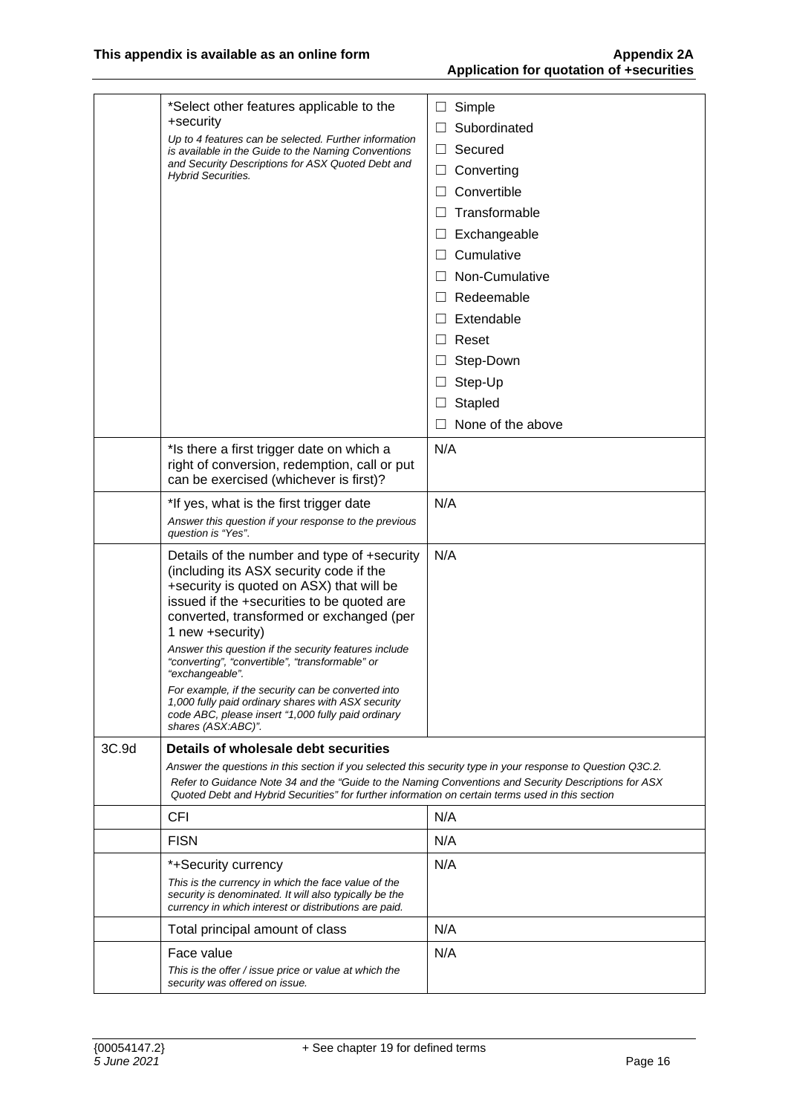|       | *Select other features applicable to the<br>+security                                                                                                                                                                                            | Simple<br>ப                |
|-------|--------------------------------------------------------------------------------------------------------------------------------------------------------------------------------------------------------------------------------------------------|----------------------------|
|       | Up to 4 features can be selected. Further information                                                                                                                                                                                            | Subordinated               |
|       | is available in the Guide to the Naming Conventions<br>and Security Descriptions for ASX Quoted Debt and                                                                                                                                         | Secured<br>$\Box$          |
|       | <b>Hybrid Securities.</b>                                                                                                                                                                                                                        | Converting<br>$\sqcup$     |
|       |                                                                                                                                                                                                                                                  | Convertible                |
|       |                                                                                                                                                                                                                                                  | Transformable              |
|       |                                                                                                                                                                                                                                                  | Exchangeable<br>$\Box$     |
|       |                                                                                                                                                                                                                                                  | Cumulative<br>$\perp$      |
|       |                                                                                                                                                                                                                                                  | Non-Cumulative<br>$\Box$   |
|       |                                                                                                                                                                                                                                                  | Redeemable<br>$\perp$      |
|       |                                                                                                                                                                                                                                                  | Extendable                 |
|       |                                                                                                                                                                                                                                                  | Reset<br>$\vert \ \ \vert$ |
|       |                                                                                                                                                                                                                                                  | Step-Down<br>$\Box$        |
|       |                                                                                                                                                                                                                                                  | Step-Up<br>$\Box$          |
|       |                                                                                                                                                                                                                                                  | Stapled<br>⊔               |
|       |                                                                                                                                                                                                                                                  | None of the above          |
|       | *Is there a first trigger date on which a                                                                                                                                                                                                        | N/A                        |
|       | right of conversion, redemption, call or put<br>can be exercised (whichever is first)?                                                                                                                                                           |                            |
|       | *If yes, what is the first trigger date                                                                                                                                                                                                          | N/A                        |
|       | Answer this question if your response to the previous<br>question is "Yes".                                                                                                                                                                      |                            |
|       | Details of the number and type of +security<br>(including its ASX security code if the<br>+security is quoted on ASX) that will be<br>issued if the +securities to be quoted are<br>converted, transformed or exchanged (per<br>1 new +security) | N/A                        |
|       | Answer this question if the security features include<br>"converting", "convertible", "transformable" or<br>"exchangeable".                                                                                                                      |                            |
|       | For example, if the security can be converted into<br>1,000 fully paid ordinary shares with ASX security<br>code ABC, please insert "1,000 fully paid ordinary<br>shares (ASX:ABC)".                                                             |                            |
| 3C.9d | Details of wholesale debt securities                                                                                                                                                                                                             |                            |
|       | Answer the questions in this section if you selected this security type in your response to Question Q3C.2.                                                                                                                                      |                            |
|       | Refer to Guidance Note 34 and the "Guide to the Naming Conventions and Security Descriptions for ASX<br>Quoted Debt and Hybrid Securities" for further information on certain terms used in this section                                         |                            |
|       | <b>CFI</b>                                                                                                                                                                                                                                       | N/A                        |
|       | <b>FISN</b>                                                                                                                                                                                                                                      | N/A                        |
|       | *+Security currency                                                                                                                                                                                                                              | N/A                        |
|       | This is the currency in which the face value of the<br>security is denominated. It will also typically be the<br>currency in which interest or distributions are paid.                                                                           |                            |
|       | Total principal amount of class                                                                                                                                                                                                                  | N/A                        |
|       | Face value                                                                                                                                                                                                                                       | N/A                        |
|       | This is the offer / issue price or value at which the<br>security was offered on issue.                                                                                                                                                          |                            |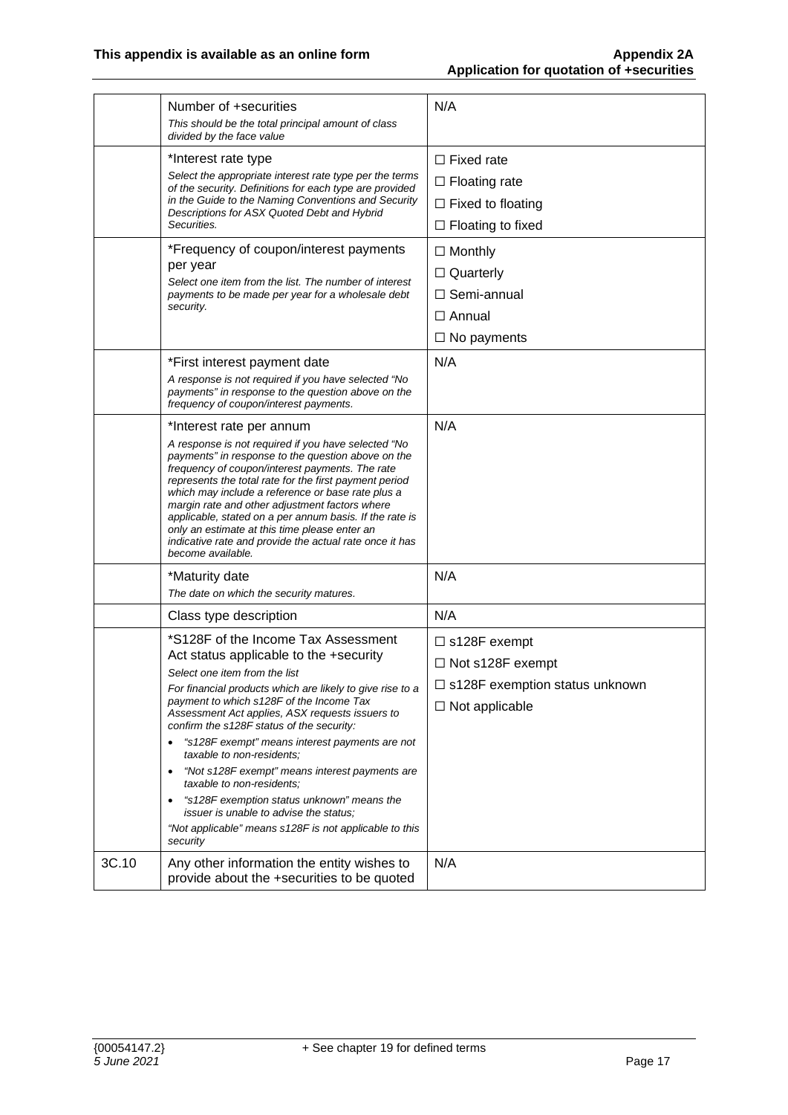|       | Number of +securities<br>This should be the total principal amount of class<br>divided by the face value                                                                                                                                                                                                                                                                                                                                                                                                                                                                                                                                                                             | N/A                                                                                                              |
|-------|--------------------------------------------------------------------------------------------------------------------------------------------------------------------------------------------------------------------------------------------------------------------------------------------------------------------------------------------------------------------------------------------------------------------------------------------------------------------------------------------------------------------------------------------------------------------------------------------------------------------------------------------------------------------------------------|------------------------------------------------------------------------------------------------------------------|
|       | *Interest rate type<br>Select the appropriate interest rate type per the terms<br>of the security. Definitions for each type are provided<br>in the Guide to the Naming Conventions and Security<br>Descriptions for ASX Quoted Debt and Hybrid<br>Securities.                                                                                                                                                                                                                                                                                                                                                                                                                       | $\Box$ Fixed rate<br>$\Box$ Floating rate<br>$\Box$ Fixed to floating<br>$\Box$ Floating to fixed                |
|       | *Frequency of coupon/interest payments<br>per year<br>Select one item from the list. The number of interest<br>payments to be made per year for a wholesale debt<br>security.                                                                                                                                                                                                                                                                                                                                                                                                                                                                                                        | $\Box$ Monthly<br>$\Box$ Quarterly<br>$\Box$ Semi-annual<br>$\Box$ Annual<br>$\Box$ No payments                  |
|       | *First interest payment date<br>A response is not required if you have selected "No<br>payments" in response to the question above on the<br>frequency of coupon/interest payments.                                                                                                                                                                                                                                                                                                                                                                                                                                                                                                  | N/A                                                                                                              |
|       | *Interest rate per annum<br>A response is not required if you have selected "No<br>payments" in response to the question above on the<br>frequency of coupon/interest payments. The rate<br>represents the total rate for the first payment period<br>which may include a reference or base rate plus a<br>margin rate and other adjustment factors where<br>applicable, stated on a per annum basis. If the rate is<br>only an estimate at this time please enter an<br>indicative rate and provide the actual rate once it has<br>become available.                                                                                                                                | N/A                                                                                                              |
|       | *Maturity date<br>The date on which the security matures.                                                                                                                                                                                                                                                                                                                                                                                                                                                                                                                                                                                                                            | N/A                                                                                                              |
|       | Class type description                                                                                                                                                                                                                                                                                                                                                                                                                                                                                                                                                                                                                                                               | N/A                                                                                                              |
|       | *S128F of the Income Tax Assessment<br>Act status applicable to the +security<br>Select one item from the list<br>For financial products which are likely to give rise to a<br>payment to which s128F of the Income Tax<br>Assessment Act applies, ASX requests issuers to<br>confirm the s128F status of the security:<br>"s128F exempt" means interest payments are not<br>$\bullet$<br>taxable to non-residents;<br>"Not s128F exempt" means interest payments are<br>$\bullet$<br>taxable to non-residents;<br>"s128F exemption status unknown" means the<br><i>issuer is unable to advise the status:</i><br>"Not applicable" means s128F is not applicable to this<br>security | $\Box$ s128F exempt<br>$\Box$ Not s128F exempt<br>$\Box$ s128F exemption status unknown<br>$\Box$ Not applicable |
| 3C.10 | Any other information the entity wishes to<br>provide about the +securities to be quoted                                                                                                                                                                                                                                                                                                                                                                                                                                                                                                                                                                                             | N/A                                                                                                              |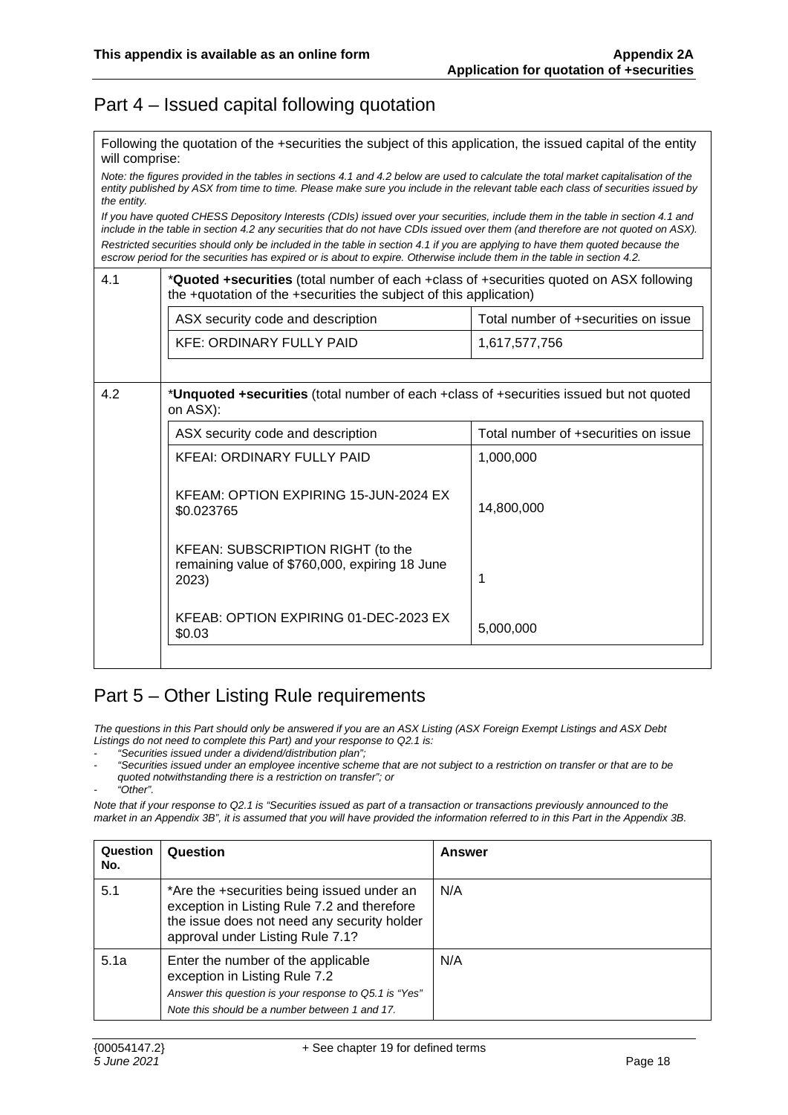### Part 4 – Issued capital following quotation

Following the quotation of the +securities the subject of this application, the issued capital of the entity will comprise:

*Note: the figures provided in the tables in sections 4.1 and 4.2 below are used to calculate the total market capitalisation of the entity published by ASX from time to time. Please make sure you include in the relevant table each class of securities issued by the entity.* 

*If you have quoted CHESS Depository Interests (CDIs) issued over your securities, include them in the table in section 4.1 and include in the table in section 4.2 any securities that do not have CDIs issued over them (and therefore are not quoted on ASX).* 

*Restricted securities should only be included in the table in section 4.1 if you are applying to have them quoted because the escrow period for the securities has expired or is about to expire. Otherwise include them in the table in section 4.2.*

| 4.1 | * <b>Quoted +securities</b> (total number of each +class of +securities quoted on ASX following<br>the +quotation of the +securities the subject of this application) |                                      |  |
|-----|-----------------------------------------------------------------------------------------------------------------------------------------------------------------------|--------------------------------------|--|
|     | ASX security code and description                                                                                                                                     | Total number of +securities on issue |  |
|     | <b>KFE: ORDINARY FULLY PAID</b>                                                                                                                                       | 1,617,577,756                        |  |
| 4.2 | *Unquoted +securities (total number of each +class of +securities issued but not quoted<br>on ASX):                                                                   |                                      |  |
|     | ASX security code and description                                                                                                                                     | Total number of +securities on issue |  |
|     | <b>KFEAI: ORDINARY FULLY PAID</b>                                                                                                                                     | 1,000,000                            |  |
|     | KFEAM: OPTION EXPIRING 15-JUN-2024 EX<br>\$0.023765                                                                                                                   | 14,800,000                           |  |
|     | KFEAN: SUBSCRIPTION RIGHT (to the<br>remaining value of \$760,000, expiring 18 June<br>2023)                                                                          | 1                                    |  |
|     | KFEAB: OPTION EXPIRING 01-DEC-2023 EX<br>\$0.03                                                                                                                       | 5,000,000                            |  |

#### Part 5 – Other Listing Rule requirements

*The questions in this Part should only be answered if you are an ASX Listing (ASX Foreign Exempt Listings and ASX Debt Listings do not need to complete this Part) and your response to Q2.1 is:* 

- *"Securities issued under a dividend/distribution plan";* 

- *"Securities issued under an employee incentive scheme that are not subject to a restriction on transfer or that are to be quoted notwithstanding there is a restriction on transfer"; or*
- *"Other".*

*Note that if your response to Q2.1 is "Securities issued as part of a transaction or transactions previously announced to the market in an Appendix 3B", it is assumed that you will have provided the information referred to in this Part in the Appendix 3B.* 

| Question<br>No. | Question                                                                                                                                                                        | Answer |
|-----------------|---------------------------------------------------------------------------------------------------------------------------------------------------------------------------------|--------|
| 5.1             | *Are the +securities being issued under an<br>exception in Listing Rule 7.2 and therefore<br>the issue does not need any security holder<br>approval under Listing Rule 7.1?    | N/A    |
| 5.1a            | Enter the number of the applicable<br>exception in Listing Rule 7.2<br>Answer this question is your response to Q5.1 is "Yes"<br>Note this should be a number between 1 and 17. | N/A    |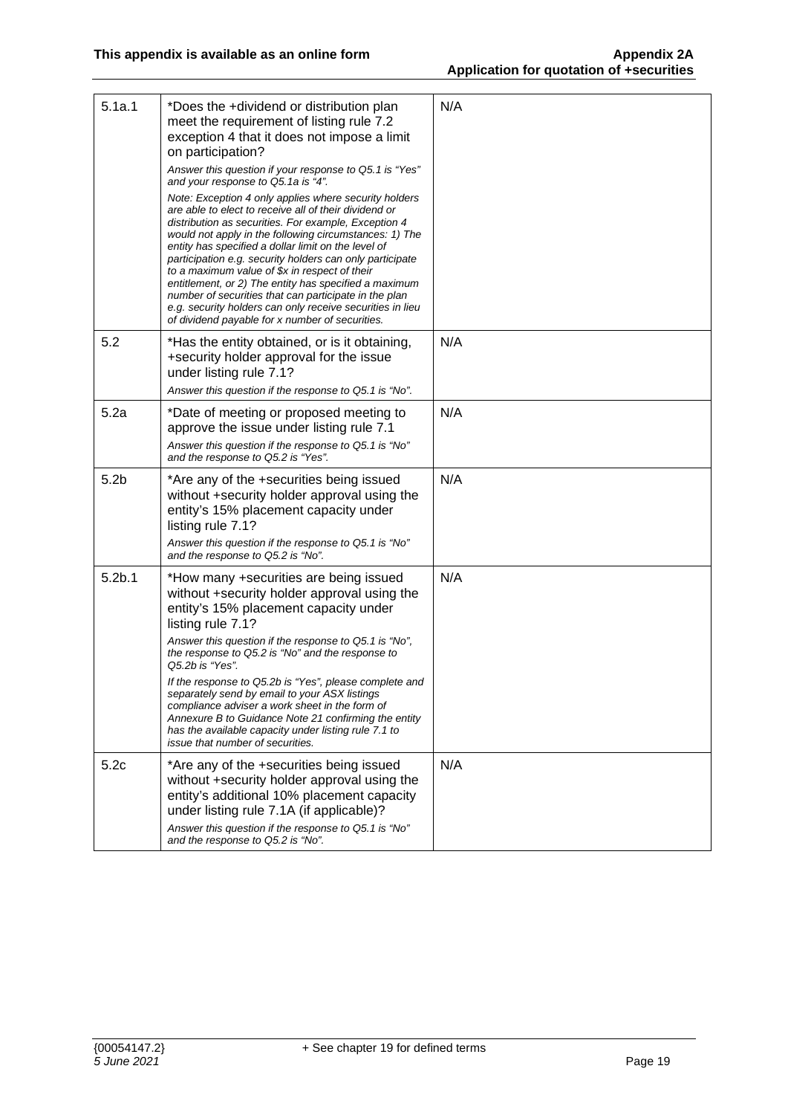| 5.1a.1             | *Does the +dividend or distribution plan<br>meet the requirement of listing rule 7.2<br>exception 4 that it does not impose a limit<br>on participation?<br>Answer this question if your response to Q5.1 is "Yes"<br>and your response to Q5.1a is "4".<br>Note: Exception 4 only applies where security holders<br>are able to elect to receive all of their dividend or<br>distribution as securities. For example, Exception 4<br>would not apply in the following circumstances: 1) The<br>entity has specified a dollar limit on the level of<br>participation e.g. security holders can only participate<br>to a maximum value of \$x in respect of their<br>entitlement, or 2) The entity has specified a maximum<br>number of securities that can participate in the plan<br>e.g. security holders can only receive securities in lieu<br>of dividend payable for x number of securities. | N/A |
|--------------------|----------------------------------------------------------------------------------------------------------------------------------------------------------------------------------------------------------------------------------------------------------------------------------------------------------------------------------------------------------------------------------------------------------------------------------------------------------------------------------------------------------------------------------------------------------------------------------------------------------------------------------------------------------------------------------------------------------------------------------------------------------------------------------------------------------------------------------------------------------------------------------------------------|-----|
| 5.2                | *Has the entity obtained, or is it obtaining,<br>+security holder approval for the issue<br>under listing rule 7.1?<br>Answer this question if the response to Q5.1 is "No".                                                                                                                                                                                                                                                                                                                                                                                                                                                                                                                                                                                                                                                                                                                       | N/A |
| 5.2a               | *Date of meeting or proposed meeting to<br>approve the issue under listing rule 7.1<br>Answer this question if the response to Q5.1 is "No"<br>and the response to Q5.2 is "Yes".                                                                                                                                                                                                                                                                                                                                                                                                                                                                                                                                                                                                                                                                                                                  | N/A |
| 5.2 <sub>b</sub>   | *Are any of the +securities being issued<br>without +security holder approval using the<br>entity's 15% placement capacity under<br>listing rule 7.1?<br>Answer this question if the response to Q5.1 is "No"<br>and the response to Q5.2 is "No".                                                                                                                                                                                                                                                                                                                                                                                                                                                                                                                                                                                                                                                 | N/A |
| 5.2 <sub>b.1</sub> | *How many +securities are being issued<br>without +security holder approval using the<br>entity's 15% placement capacity under<br>listing rule 7.1?<br>Answer this question if the response to Q5.1 is "No",<br>the response to Q5.2 is "No" and the response to<br>Q5.2b is "Yes".<br>If the response to Q5.2b is "Yes", please complete and<br>separately send by email to your ASX listings<br>compliance adviser a work sheet in the form of<br>Annexure B to Guidance Note 21 confirming the entity<br>has the available capacity under listing rule 7.1 to<br>issue that number of securities.                                                                                                                                                                                                                                                                                               | N/A |
| 5.2c               | *Are any of the +securities being issued<br>without +security holder approval using the<br>entity's additional 10% placement capacity<br>under listing rule 7.1A (if applicable)?<br>Answer this question if the response to Q5.1 is "No"<br>and the response to Q5.2 is "No".                                                                                                                                                                                                                                                                                                                                                                                                                                                                                                                                                                                                                     | N/A |